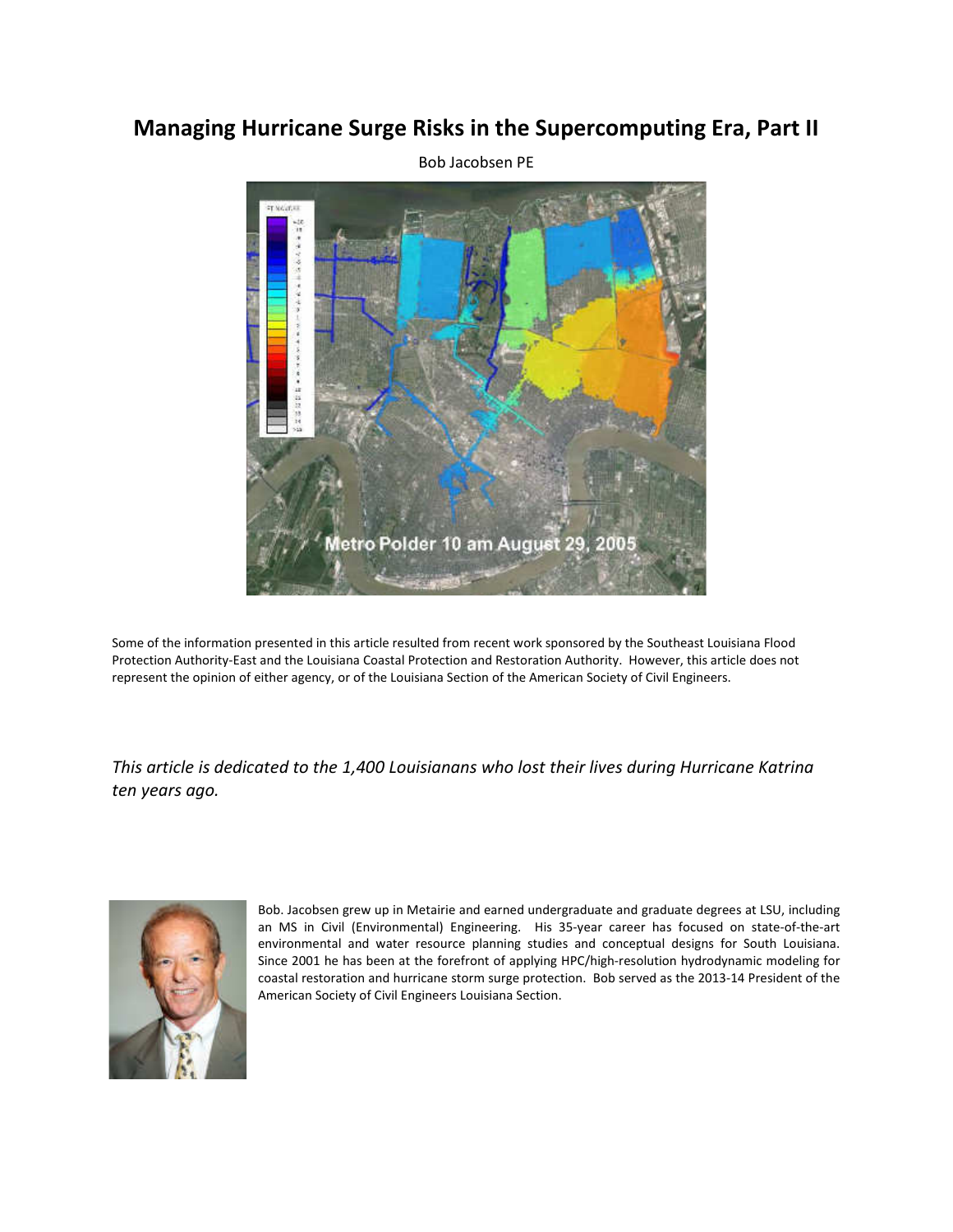# **Managing Hurricane Surge Risks in the Supercomputing Era, Part II**



Some of the information presented in this article resulted from recent work sponsored by the Southeast Louisiana Flood Protection Authority-East and the Louisiana Coastal Protection and Restoration Authority. However, this article does not represent the opinion of either agency, or of the Louisiana Section of the American Society of Civil Engineers.

*This article is dedicated to the 1,400 Louisianans who lost their lives during Hurricane Katrina ten years ago.* 



Bob. Jacobsen grew up in Metairie and earned undergraduate and graduate degrees at LSU, including an MS in Civil (Environmental) Engineering. His 35-year career has focused on state-of-the-art environmental and water resource planning studies and conceptual designs for South Louisiana. Since 2001 he has been at the forefront of applying HPC/high-resolution hydrodynamic modeling for coastal restoration and hurricane storm surge protection. Bob served as the 2013-14 President of the American Society of Civil Engineers Louisiana Section.

Bob Jacobsen PE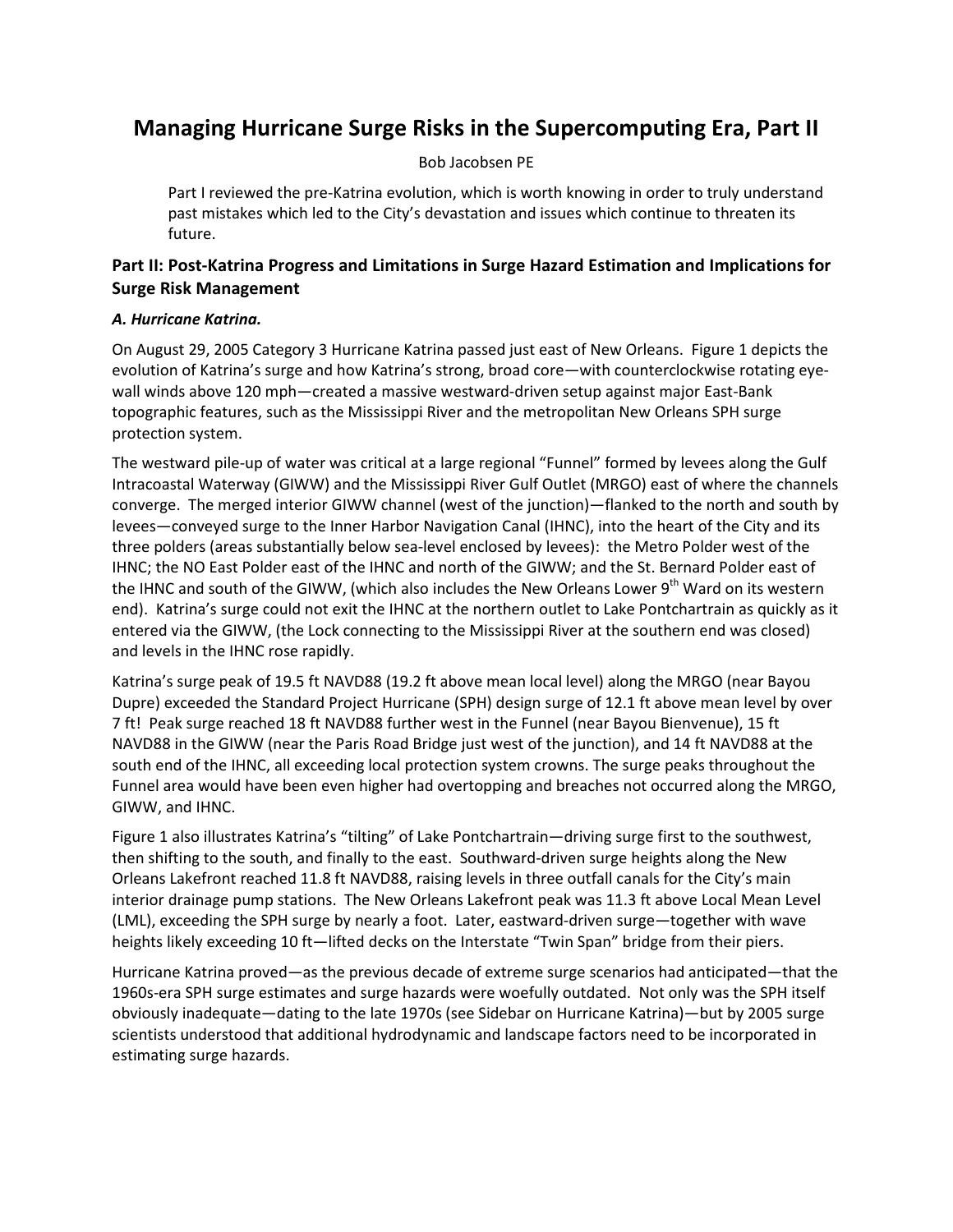# **Managing Hurricane Surge Risks in the Supercomputing Era, Part II**

### Bob Jacobsen PE

Part I reviewed the pre-Katrina evolution, which is worth knowing in order to truly understand past mistakes which led to the City's devastation and issues which continue to threaten its future.

## **Part II: Post-Katrina Progress and Limitations in Surge Hazard Estimation and Implications for Surge Risk Management**

### *A. Hurricane Katrina.*

On August 29, 2005 Category 3 Hurricane Katrina passed just east of New Orleans. Figure 1 depicts the evolution of Katrina's surge and how Katrina's strong, broad core—with counterclockwise rotating eyewall winds above 120 mph—created a massive westward-driven setup against major East-Bank topographic features, such as the Mississippi River and the metropolitan New Orleans SPH surge protection system.

The westward pile-up of water was critical at a large regional "Funnel" formed by levees along the Gulf Intracoastal Waterway (GIWW) and the Mississippi River Gulf Outlet (MRGO) east of where the channels converge. The merged interior GIWW channel (west of the junction)—flanked to the north and south by levees—conveyed surge to the Inner Harbor Navigation Canal (IHNC), into the heart of the City and its three polders (areas substantially below sea-level enclosed by levees): the Metro Polder west of the IHNC; the NO East Polder east of the IHNC and north of the GIWW; and the St. Bernard Polder east of the IHNC and south of the GIWW, (which also includes the New Orleans Lower 9<sup>th</sup> Ward on its western end). Katrina's surge could not exit the IHNC at the northern outlet to Lake Pontchartrain as quickly as it entered via the GIWW, (the Lock connecting to the Mississippi River at the southern end was closed) and levels in the IHNC rose rapidly.

Katrina's surge peak of 19.5 ft NAVD88 (19.2 ft above mean local level) along the MRGO (near Bayou Dupre) exceeded the Standard Project Hurricane (SPH) design surge of 12.1 ft above mean level by over 7 ft! Peak surge reached 18 ft NAVD88 further west in the Funnel (near Bayou Bienvenue), 15 ft NAVD88 in the GIWW (near the Paris Road Bridge just west of the junction), and 14 ft NAVD88 at the south end of the IHNC, all exceeding local protection system crowns. The surge peaks throughout the Funnel area would have been even higher had overtopping and breaches not occurred along the MRGO, GIWW, and IHNC.

Figure 1 also illustrates Katrina's "tilting" of Lake Pontchartrain—driving surge first to the southwest, then shifting to the south, and finally to the east. Southward-driven surge heights along the New Orleans Lakefront reached 11.8 ft NAVD88, raising levels in three outfall canals for the City's main interior drainage pump stations. The New Orleans Lakefront peak was 11.3 ft above Local Mean Level (LML), exceeding the SPH surge by nearly a foot. Later, eastward-driven surge—together with wave heights likely exceeding 10 ft—lifted decks on the Interstate "Twin Span" bridge from their piers.

Hurricane Katrina proved—as the previous decade of extreme surge scenarios had anticipated—that the 1960s-era SPH surge estimates and surge hazards were woefully outdated. Not only was the SPH itself obviously inadequate—dating to the late 1970s (see Sidebar on Hurricane Katrina)—but by 2005 surge scientists understood that additional hydrodynamic and landscape factors need to be incorporated in estimating surge hazards.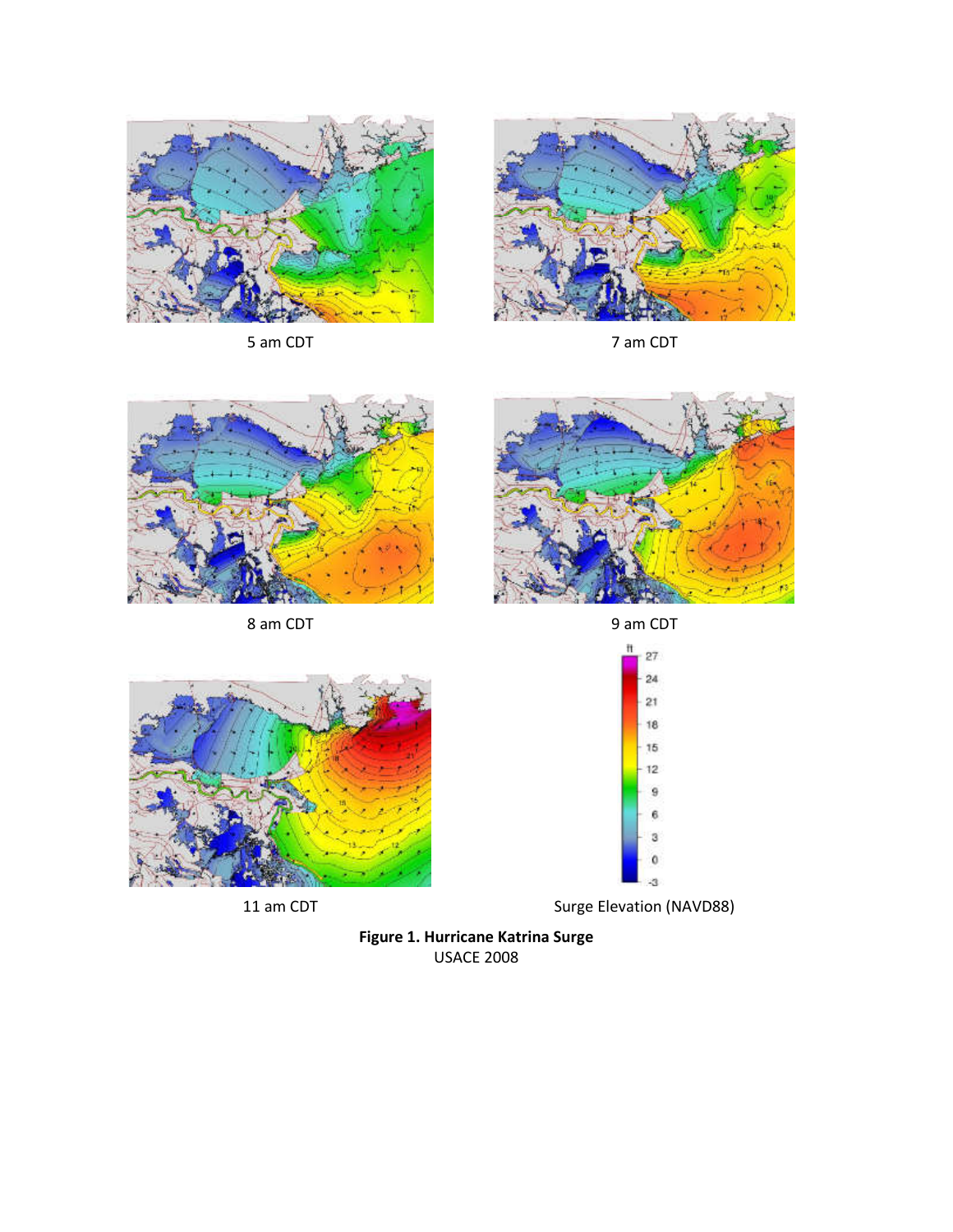

5 am CDT 7 am CDT







8 am CDT 9 am CDT







11 am CDT Surge Elevation (NAVD88)

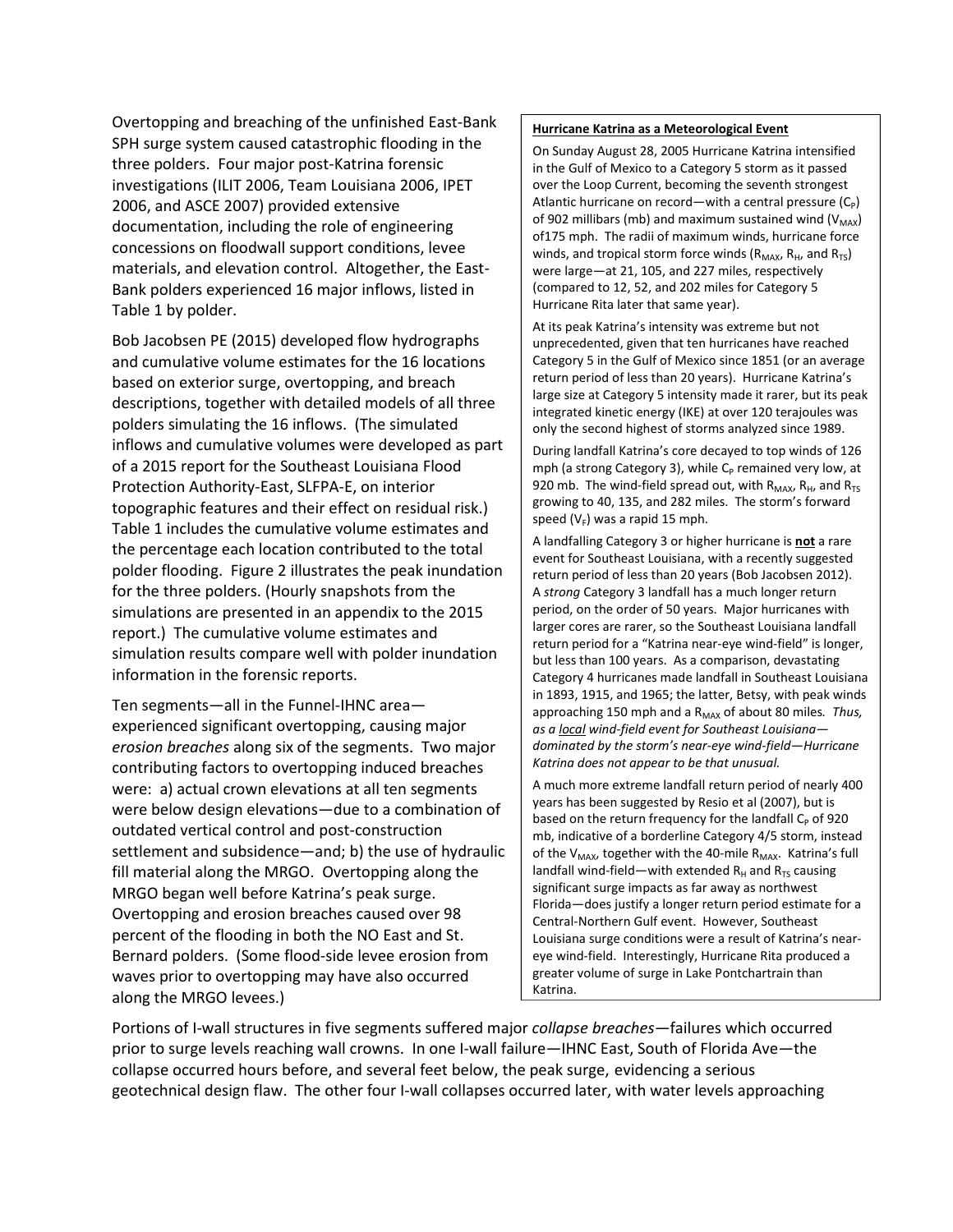Overtopping and breaching of the unfinished East-Bank SPH surge system caused catastrophic flooding in the three polders. Four major post-Katrina forensic investigations (ILIT 2006, Team Louisiana 2006, IPET 2006, and ASCE 2007) provided extensive documentation, including the role of engineering concessions on floodwall support conditions, levee materials, and elevation control. Altogether, the East-Bank polders experienced 16 major inflows, listed in Table 1 by polder.

Bob Jacobsen PE (2015) developed flow hydrographs and cumulative volume estimates for the 16 locations based on exterior surge, overtopping, and breach descriptions, together with detailed models of all three polders simulating the 16 inflows. (The simulated inflows and cumulative volumes were developed as part of a 2015 report for the Southeast Louisiana Flood Protection Authority-East, SLFPA-E, on interior topographic features and their effect on residual risk.) Table 1 includes the cumulative volume estimates and the percentage each location contributed to the total polder flooding. Figure 2 illustrates the peak inundation for the three polders. (Hourly snapshots from the simulations are presented in an appendix to the 2015 report.) The cumulative volume estimates and simulation results compare well with polder inundation information in the forensic reports.

Ten segments—all in the Funnel-IHNC area experienced significant overtopping, causing major *erosion breaches* along six of the segments. Two major contributing factors to overtopping induced breaches were: a) actual crown elevations at all ten segments were below design elevations—due to a combination of outdated vertical control and post-construction settlement and subsidence—and; b) the use of hydraulic fill material along the MRGO. Overtopping along the MRGO began well before Katrina's peak surge. Overtopping and erosion breaches caused over 98 percent of the flooding in both the NO East and St. Bernard polders. (Some flood-side levee erosion from waves prior to overtopping may have also occurred along the MRGO levees.)

#### **Hurricane Katrina as a Meteorological Event**

On Sunday August 28, 2005 Hurricane Katrina intensified in the Gulf of Mexico to a Category 5 storm as it passed over the Loop Current, becoming the seventh strongest Atlantic hurricane on record—with a central pressure  $(C_P)$ of 902 millibars (mb) and maximum sustained wind ( $V_{MAX}$ ) of175 mph. The radii of maximum winds, hurricane force winds, and tropical storm force winds ( $R_{MAX}$ ,  $R_{H}$ , and  $R_{TS}$ ) were large—at 21, 105, and 227 miles, respectively (compared to 12, 52, and 202 miles for Category 5 Hurricane Rita later that same year).

At its peak Katrina's intensity was extreme but not unprecedented, given that ten hurricanes have reached Category 5 in the Gulf of Mexico since 1851 (or an average return period of less than 20 years). Hurricane Katrina's large size at Category 5 intensity made it rarer, but its peak integrated kinetic energy (IKE) at over 120 terajoules was only the second highest of storms analyzed since 1989.

During landfall Katrina's core decayed to top winds of 126 mph (a strong Category 3), while C<sub>P</sub> remained very low, at 920 mb. The wind-field spread out, with  $R_{MAX}$ ,  $R_{H}$ , and  $R_{TS}$ growing to 40, 135, and 282 miles. The storm's forward speed ( $V_F$ ) was a rapid 15 mph.

A landfalling Category 3 or higher hurricane is **not** a rare event for Southeast Louisiana, with a recently suggested return period of less than 20 years (Bob Jacobsen 2012). A *strong* Category 3 landfall has a much longer return period, on the order of 50 years. Major hurricanes with larger cores are rarer, so the Southeast Louisiana landfall return period for a "Katrina near-eye wind-field" is longer, but less than 100 years. As a comparison, devastating Category 4 hurricanes made landfall in Southeast Louisiana in 1893, 1915, and 1965; the latter, Betsy, with peak winds approaching 150 mph and a R<sub>MAX</sub> of about 80 miles. Thus, *as a local wind-field event for Southeast Louisiana dominated by the storm's near-eye wind-field—Hurricane Katrina does not appear to be that unusual.*

A much more extreme landfall return period of nearly 400 years has been suggested by Resio et al (2007), but is based on the return frequency for the landfall  $C_P$  of 920 mb, indicative of a borderline Category 4/5 storm, instead of the  $V_{MAX}$ , together with the 40-mile  $R_{MAX}$ . Katrina's full landfall wind-field—with extended  $R_H$  and  $R_{TS}$  causing significant surge impacts as far away as northwest Florida—does justify a longer return period estimate for a Central-Northern Gulf event. However, Southeast Louisiana surge conditions were a result of Katrina's neareye wind-field. Interestingly, Hurricane Rita produced a greater volume of surge in Lake Pontchartrain than Katrina.

Portions of I-wall structures in five segments suffered major *collapse breaches*—failures which occurred prior to surge levels reaching wall crowns. In one I-wall failure—IHNC East, South of Florida Ave—the collapse occurred hours before, and several feet below, the peak surge, evidencing a serious geotechnical design flaw. The other four I-wall collapses occurred later, with water levels approaching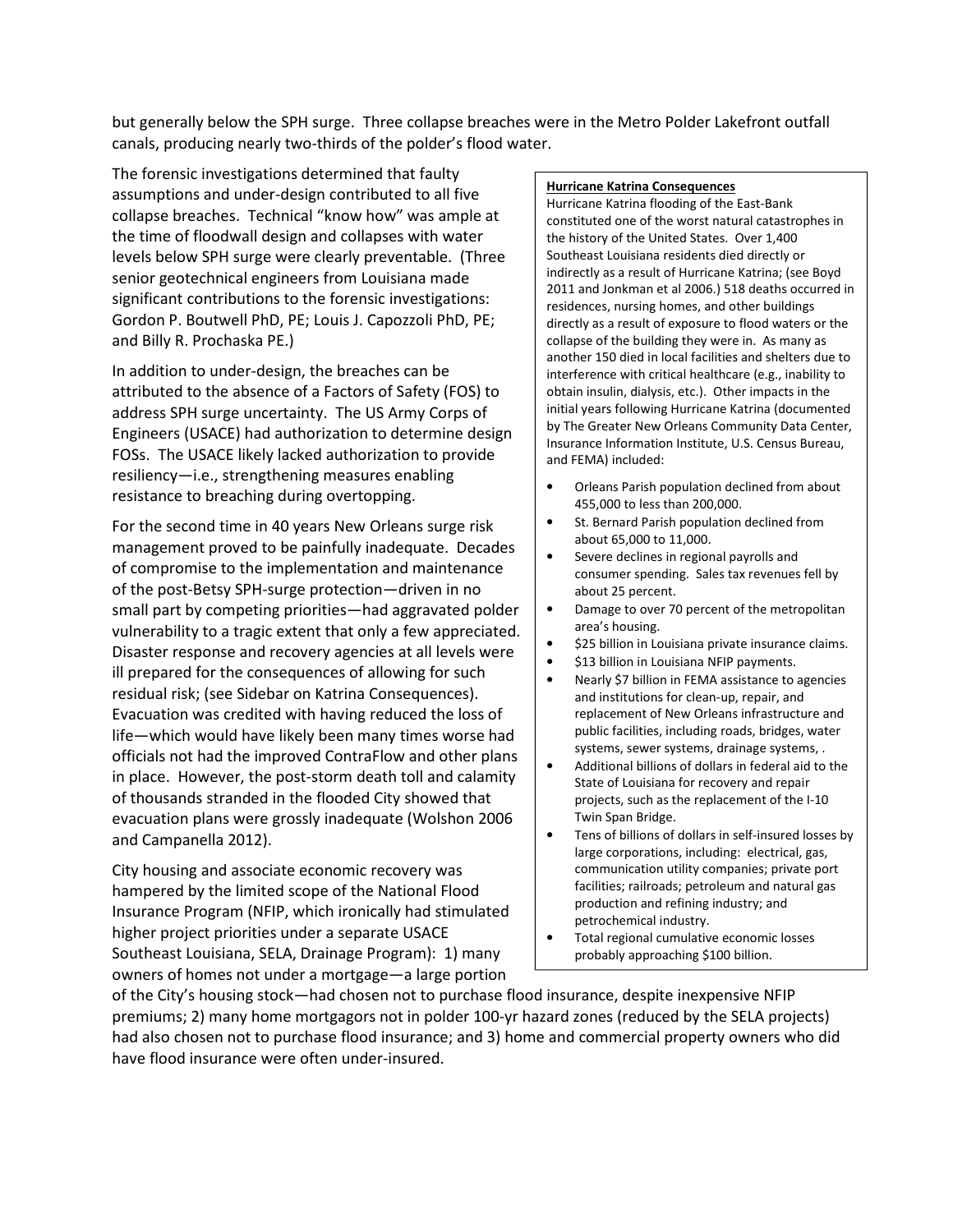but generally below the SPH surge. Three collapse breaches were in the Metro Polder Lakefront outfall canals, producing nearly two-thirds of the polder's flood water.

The forensic investigations determined that faulty assumptions and under-design contributed to all five collapse breaches. Technical "know how" was ample at the time of floodwall design and collapses with water levels below SPH surge were clearly preventable. (Three senior geotechnical engineers from Louisiana made significant contributions to the forensic investigations: Gordon P. Boutwell PhD, PE; Louis J. Capozzoli PhD, PE; and Billy R. Prochaska PE.)

In addition to under-design, the breaches can be attributed to the absence of a Factors of Safety (FOS) to address SPH surge uncertainty. The US Army Corps of Engineers (USACE) had authorization to determine design FOSs. The USACE likely lacked authorization to provide resiliency—i.e., strengthening measures enabling resistance to breaching during overtopping.

For the second time in 40 years New Orleans surge risk management proved to be painfully inadequate. Decades of compromise to the implementation and maintenance of the post-Betsy SPH-surge protection—driven in no small part by competing priorities—had aggravated polder vulnerability to a tragic extent that only a few appreciated. Disaster response and recovery agencies at all levels were ill prepared for the consequences of allowing for such residual risk; (see Sidebar on Katrina Consequences). Evacuation was credited with having reduced the loss of life—which would have likely been many times worse had officials not had the improved ContraFlow and other plans in place. However, the post-storm death toll and calamity of thousands stranded in the flooded City showed that evacuation plans were grossly inadequate (Wolshon 2006 and Campanella 2012).

City housing and associate economic recovery was hampered by the limited scope of the National Flood Insurance Program (NFIP, which ironically had stimulated higher project priorities under a separate USACE Southeast Louisiana, SELA, Drainage Program): 1) many owners of homes not under a mortgage—a large portion

#### **Hurricane Katrina Consequences**

Hurricane Katrina flooding of the East-Bank constituted one of the worst natural catastrophes in the history of the United States. Over 1,400 Southeast Louisiana residents died directly or indirectly as a result of Hurricane Katrina; (see Boyd 2011 and Jonkman et al 2006.) 518 deaths occurred in residences, nursing homes, and other buildings directly as a result of exposure to flood waters or the collapse of the building they were in. As many as another 150 died in local facilities and shelters due to interference with critical healthcare (e.g., inability to obtain insulin, dialysis, etc.). Other impacts in the initial years following Hurricane Katrina (documented by The Greater New Orleans Community Data Center, Insurance Information Institute, U.S. Census Bureau, and FEMA) included:

- Orleans Parish population declined from about 455,000 to less than 200,000.
- St. Bernard Parish population declined from about 65,000 to 11,000.
- Severe declines in regional payrolls and consumer spending. Sales tax revenues fell by about 25 percent.
- Damage to over 70 percent of the metropolitan area's housing.
- \$25 billion in Louisiana private insurance claims.
- \$13 billion in Louisiana NFIP payments.
- Nearly \$7 billion in FEMA assistance to agencies and institutions for clean-up, repair, and replacement of New Orleans infrastructure and public facilities, including roads, bridges, water systems, sewer systems, drainage systems, .
- Additional billions of dollars in federal aid to the State of Louisiana for recovery and repair projects, such as the replacement of the I-10 Twin Span Bridge.
- Tens of billions of dollars in self-insured losses by large corporations, including: electrical, gas, communication utility companies; private port facilities; railroads; petroleum and natural gas production and refining industry; and petrochemical industry.
- Total regional cumulative economic losses probably approaching \$100 billion.

of the City's housing stock—had chosen not to purchase flood insurance, despite inexpensive NFIP premiums; 2) many home mortgagors not in polder 100-yr hazard zones (reduced by the SELA projects) had also chosen not to purchase flood insurance; and 3) home and commercial property owners who did have flood insurance were often under-insured.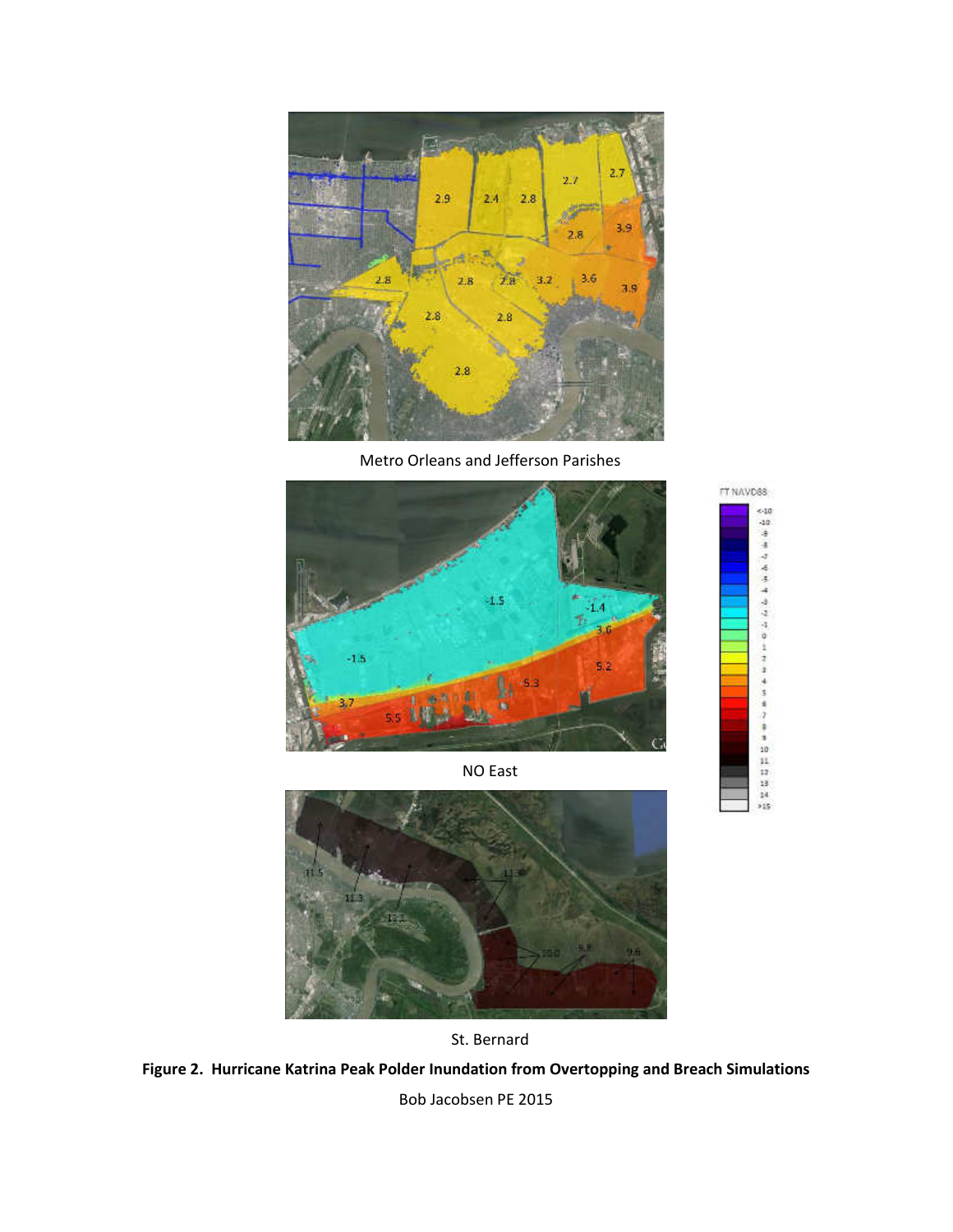

Metro Orleans and Jefferson Parishes

IT NAVO<sub>88</sub> ean -10 ä x

÷

J. 4 ä



NO East







Bob Jacobsen PE 2015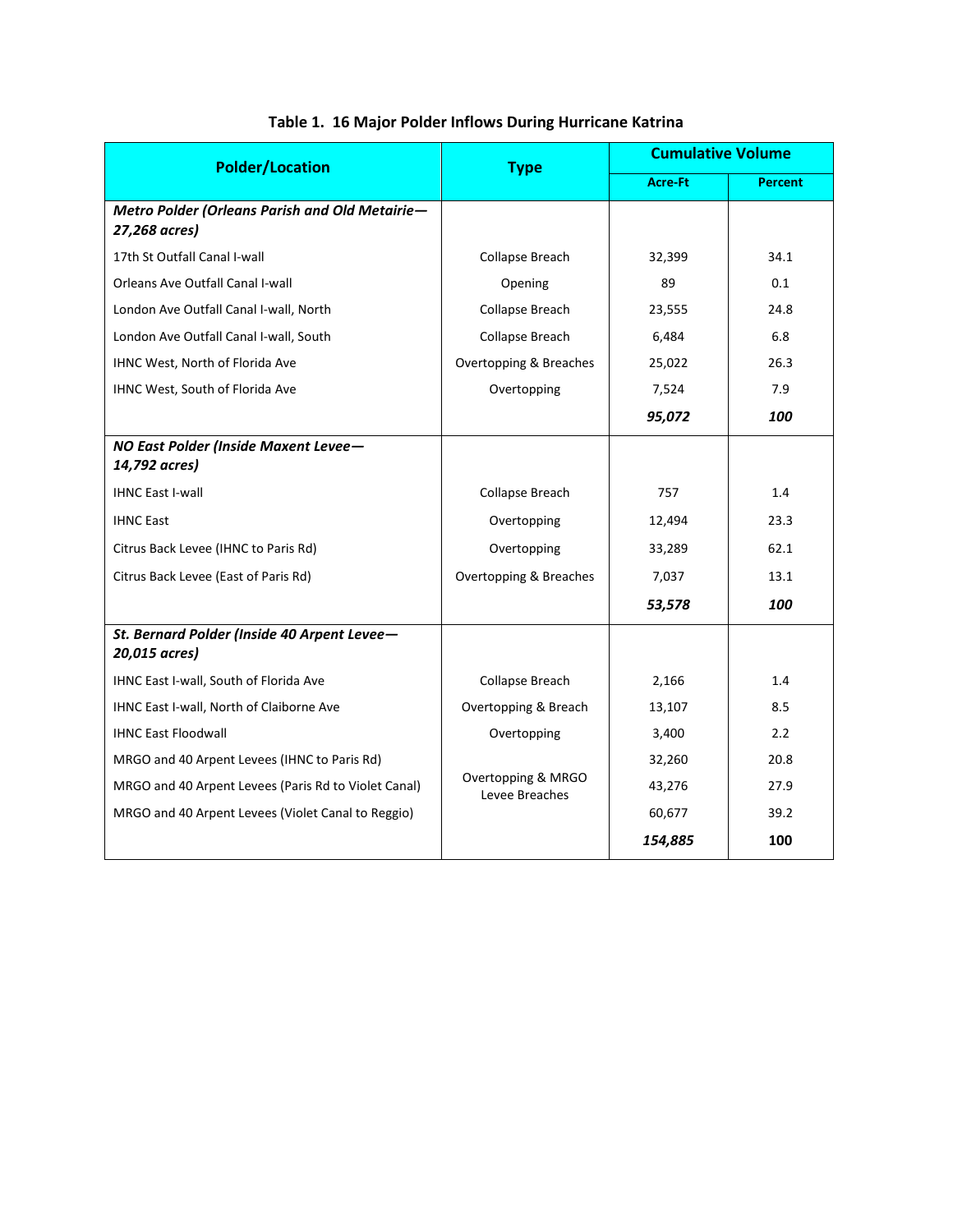| <b>Polder/Location</b>                                          | <b>Type</b>                          | <b>Cumulative Volume</b> |                |  |
|-----------------------------------------------------------------|--------------------------------------|--------------------------|----------------|--|
|                                                                 |                                      | <b>Acre-Ft</b>           | <b>Percent</b> |  |
| Metro Polder (Orleans Parish and Old Metairie-<br>27,268 acres) |                                      |                          |                |  |
| 17th St Outfall Canal I-wall                                    | Collapse Breach                      | 32,399                   | 34.1           |  |
| Orleans Ave Outfall Canal I-wall                                | Opening                              | 89                       | 0.1            |  |
| London Ave Outfall Canal I-wall, North                          | Collapse Breach                      | 23,555                   | 24.8           |  |
| London Ave Outfall Canal I-wall, South                          | Collapse Breach                      | 6,484                    | 6.8            |  |
| IHNC West, North of Florida Ave                                 | Overtopping & Breaches               | 25,022                   | 26.3           |  |
| IHNC West, South of Florida Ave                                 | Overtopping                          | 7,524                    | 7.9            |  |
|                                                                 |                                      | 95,072                   | 100            |  |
| NO East Polder (Inside Maxent Levee-<br>14,792 acres)           |                                      |                          |                |  |
| <b>IHNC East I-wall</b>                                         | Collapse Breach                      | 757                      | 1.4            |  |
| <b>IHNC East</b>                                                | Overtopping                          | 12,494                   | 23.3           |  |
| Citrus Back Levee (IHNC to Paris Rd)                            | Overtopping                          | 33,289                   | 62.1           |  |
| Citrus Back Levee (East of Paris Rd)                            | Overtopping & Breaches               | 7,037                    | 13.1           |  |
|                                                                 |                                      | 53,578                   | 100            |  |
| St. Bernard Polder (Inside 40 Arpent Levee-<br>20,015 acres)    |                                      |                          |                |  |
| IHNC East I-wall, South of Florida Ave                          | Collapse Breach                      | 2,166                    | 1.4            |  |
| IHNC East I-wall, North of Claiborne Ave                        | Overtopping & Breach                 | 13,107                   | 8.5            |  |
| <b>IHNC East Floodwall</b>                                      | Overtopping                          | 3,400                    | 2.2            |  |
| MRGO and 40 Arpent Levees (IHNC to Paris Rd)                    |                                      | 32,260                   | 20.8           |  |
| MRGO and 40 Arpent Levees (Paris Rd to Violet Canal)            | Overtopping & MRGO<br>Levee Breaches | 43,276                   | 27.9           |  |
| MRGO and 40 Arpent Levees (Violet Canal to Reggio)              |                                      | 60,677                   | 39.2           |  |
|                                                                 |                                      | 154,885                  | 100            |  |

## **Table 1. 16 Major Polder Inflows During Hurricane Katrina**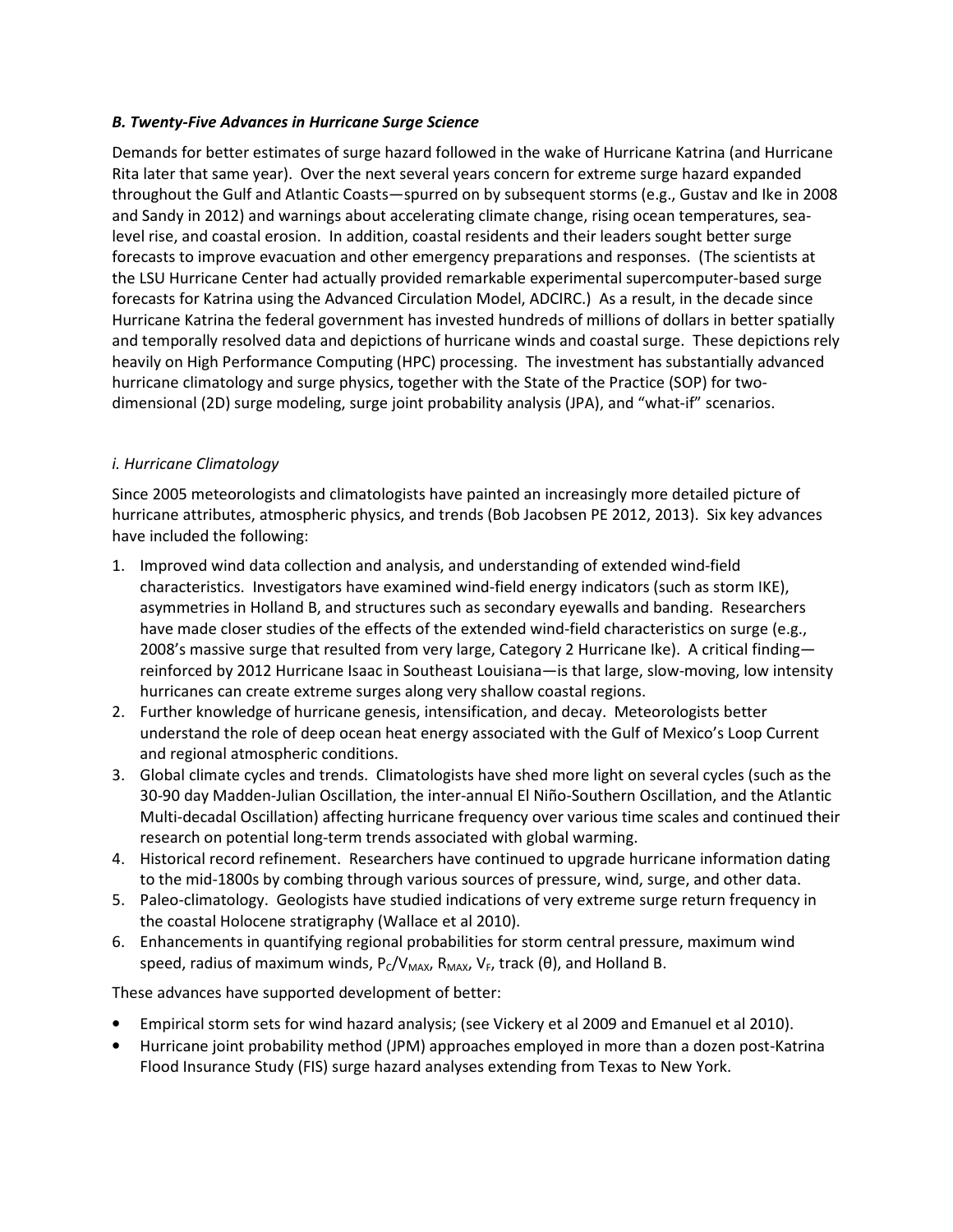### *B. Twenty-Five Advances in Hurricane Surge Science*

Demands for better estimates of surge hazard followed in the wake of Hurricane Katrina (and Hurricane Rita later that same year). Over the next several years concern for extreme surge hazard expanded throughout the Gulf and Atlantic Coasts—spurred on by subsequent storms (e.g., Gustav and Ike in 2008 and Sandy in 2012) and warnings about accelerating climate change, rising ocean temperatures, sealevel rise, and coastal erosion. In addition, coastal residents and their leaders sought better surge forecasts to improve evacuation and other emergency preparations and responses. (The scientists at the LSU Hurricane Center had actually provided remarkable experimental supercomputer-based surge forecasts for Katrina using the Advanced Circulation Model, ADCIRC.) As a result, in the decade since Hurricane Katrina the federal government has invested hundreds of millions of dollars in better spatially and temporally resolved data and depictions of hurricane winds and coastal surge. These depictions rely heavily on High Performance Computing (HPC) processing. The investment has substantially advanced hurricane climatology and surge physics, together with the State of the Practice (SOP) for twodimensional (2D) surge modeling, surge joint probability analysis (JPA), and "what-if" scenarios.

## *i. Hurricane Climatology*

Since 2005 meteorologists and climatologists have painted an increasingly more detailed picture of hurricane attributes, atmospheric physics, and trends (Bob Jacobsen PE 2012, 2013). Six key advances have included the following:

- 1. Improved wind data collection and analysis, and understanding of extended wind-field characteristics. Investigators have examined wind-field energy indicators (such as storm IKE), asymmetries in Holland B, and structures such as secondary eyewalls and banding. Researchers have made closer studies of the effects of the extended wind-field characteristics on surge (e.g., 2008's massive surge that resulted from very large, Category 2 Hurricane Ike). A critical finding reinforced by 2012 Hurricane Isaac in Southeast Louisiana—is that large, slow-moving, low intensity hurricanes can create extreme surges along very shallow coastal regions.
- 2. Further knowledge of hurricane genesis, intensification, and decay. Meteorologists better understand the role of deep ocean heat energy associated with the Gulf of Mexico's Loop Current and regional atmospheric conditions.
- 3. Global climate cycles and trends. Climatologists have shed more light on several cycles (such as the 30-90 day Madden-Julian Oscillation, the inter-annual El Niño-Southern Oscillation, and the Atlantic Multi-decadal Oscillation) affecting hurricane frequency over various time scales and continued their research on potential long-term trends associated with global warming.
- 4. Historical record refinement. Researchers have continued to upgrade hurricane information dating to the mid-1800s by combing through various sources of pressure, wind, surge, and other data.
- 5. Paleo-climatology. Geologists have studied indications of very extreme surge return frequency in the coastal Holocene stratigraphy (Wallace et al 2010).
- 6. Enhancements in quantifying regional probabilities for storm central pressure, maximum wind speed, radius of maximum winds,  $P_C/V_{MAX}$ ,  $R_{MAX}$ ,  $V_F$ , track ( $\theta$ ), and Holland B.

These advances have supported development of better:

- Empirical storm sets for wind hazard analysis; (see Vickery et al 2009 and Emanuel et al 2010).
- Hurricane joint probability method (JPM) approaches employed in more than a dozen post-Katrina Flood Insurance Study (FIS) surge hazard analyses extending from Texas to New York.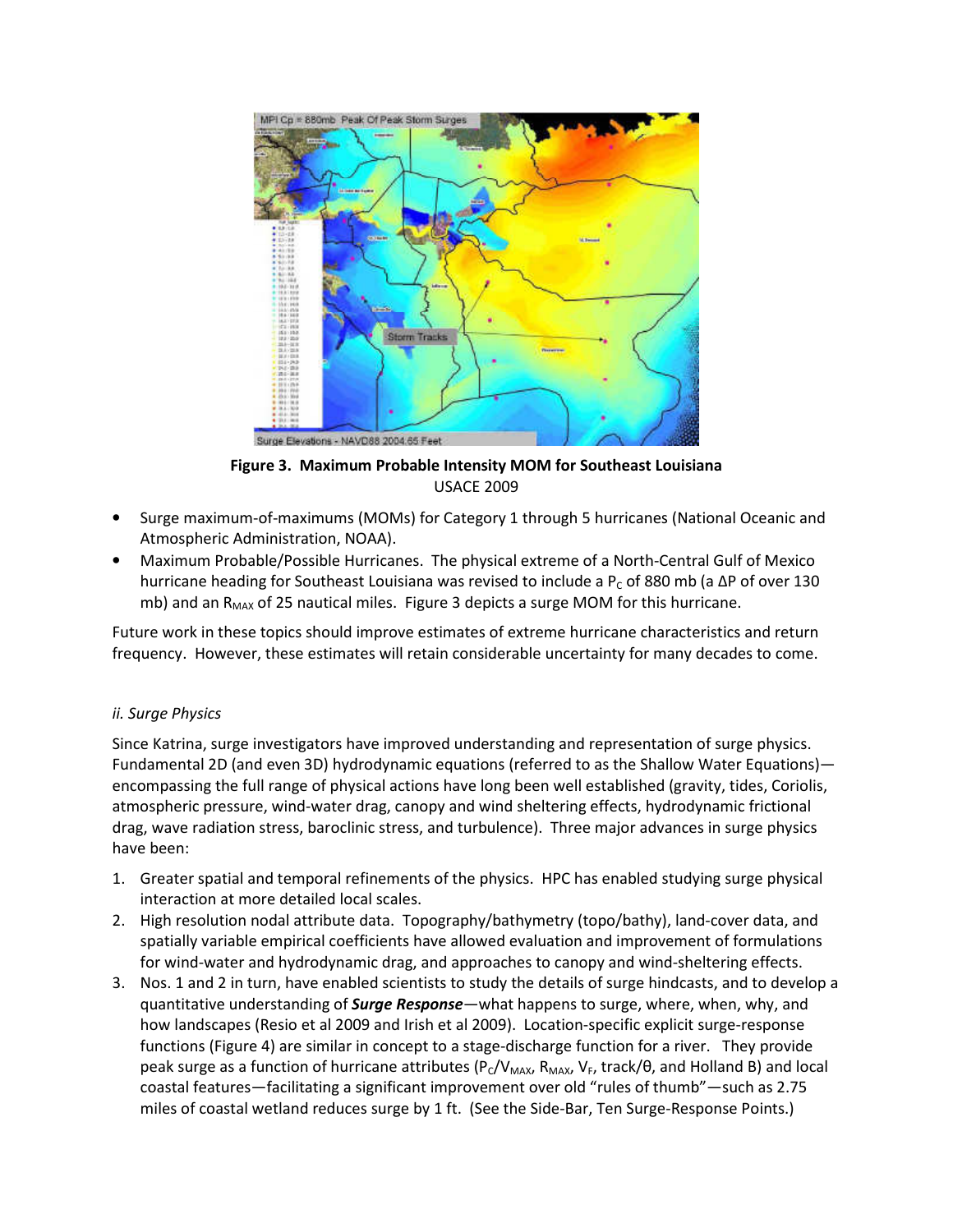

**Figure 3. Maximum Probable Intensity MOM for Southeast Louisiana**  USACE 2009

- Surge maximum-of-maximums (MOMs) for Category 1 through 5 hurricanes (National Oceanic and Atmospheric Administration, NOAA).
- Maximum Probable/Possible Hurricanes. The physical extreme of a North-Central Gulf of Mexico hurricane heading for Southeast Louisiana was revised to include a P<sub>c</sub> of 880 mb (a ΔP of over 130 mb) and an  $R_{MAX}$  of 25 nautical miles. Figure 3 depicts a surge MOM for this hurricane.

Future work in these topics should improve estimates of extreme hurricane characteristics and return frequency. However, these estimates will retain considerable uncertainty for many decades to come.

#### *ii. Surge Physics*

Since Katrina, surge investigators have improved understanding and representation of surge physics. Fundamental 2D (and even 3D) hydrodynamic equations (referred to as the Shallow Water Equations) encompassing the full range of physical actions have long been well established (gravity, tides, Coriolis, atmospheric pressure, wind-water drag, canopy and wind sheltering effects, hydrodynamic frictional drag, wave radiation stress, baroclinic stress, and turbulence). Three major advances in surge physics have been:

- 1. Greater spatial and temporal refinements of the physics. HPC has enabled studying surge physical interaction at more detailed local scales.
- 2. High resolution nodal attribute data. Topography/bathymetry (topo/bathy), land-cover data, and spatially variable empirical coefficients have allowed evaluation and improvement of formulations for wind-water and hydrodynamic drag, and approaches to canopy and wind-sheltering effects.
- 3. Nos. 1 and 2 in turn, have enabled scientists to study the details of surge hindcasts, and to develop a quantitative understanding of *Surge Response*—what happens to surge, where, when, why, and how landscapes (Resio et al 2009 and Irish et al 2009). Location-specific explicit surge-response functions (Figure 4) are similar in concept to a stage-discharge function for a river. They provide peak surge as a function of hurricane attributes ( $P_C/V_{MAX}$ ,  $R_{MAX}$ ,  $V_F$ , track/ $\theta$ , and Holland B) and local coastal features—facilitating a significant improvement over old "rules of thumb"—such as 2.75 miles of coastal wetland reduces surge by 1 ft. (See the Side-Bar, Ten Surge-Response Points.)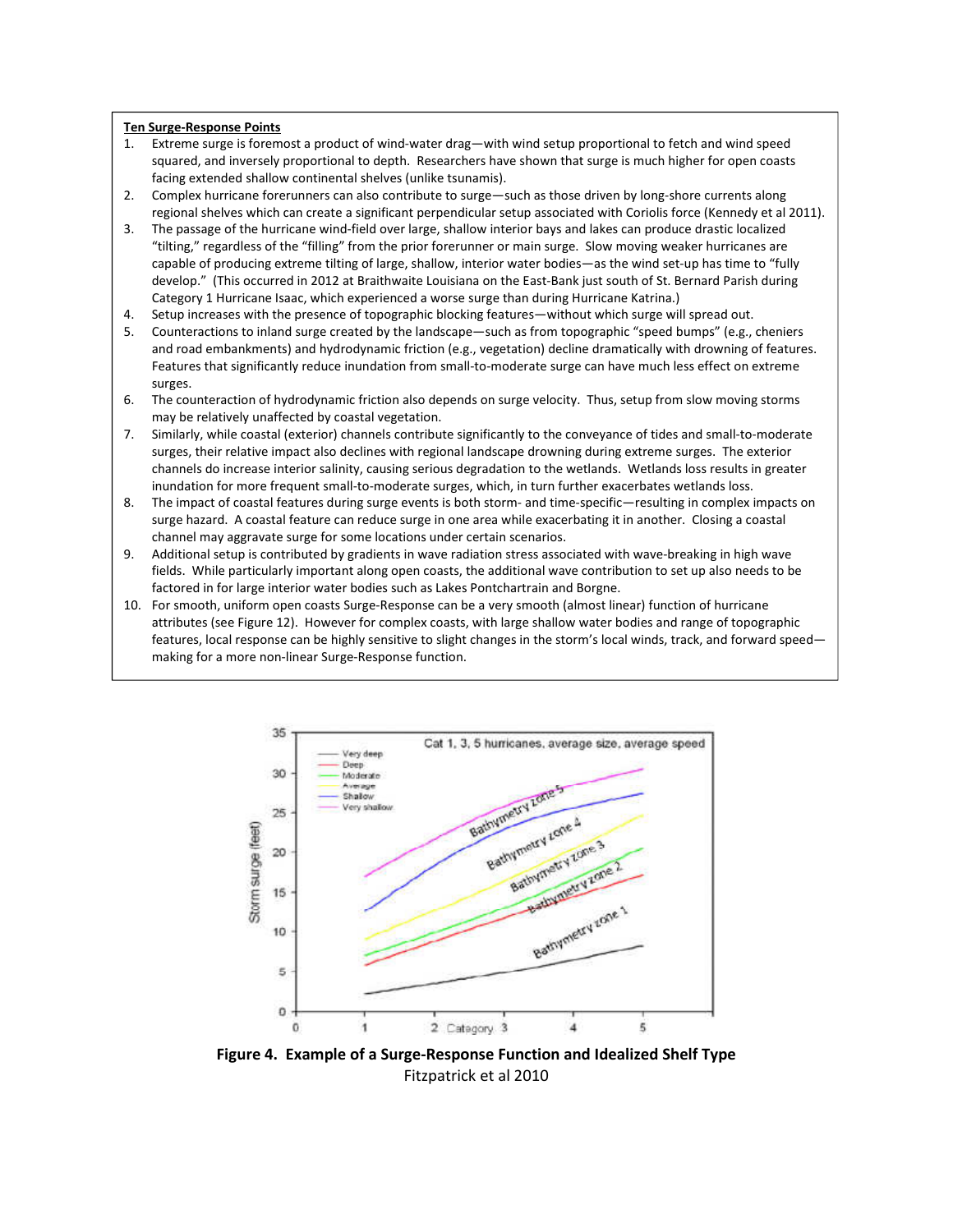#### **Ten Surge-Response Points**

- 1. Extreme surge is foremost a product of wind-water drag—with wind setup proportional to fetch and wind speed squared, and inversely proportional to depth. Researchers have shown that surge is much higher for open coasts facing extended shallow continental shelves (unlike tsunamis).
- 2. Complex hurricane forerunners can also contribute to surge—such as those driven by long-shore currents along regional shelves which can create a significant perpendicular setup associated with Coriolis force (Kennedy et al 2011).
- 3. The passage of the hurricane wind-field over large, shallow interior bays and lakes can produce drastic localized "tilting," regardless of the "filling" from the prior forerunner or main surge. Slow moving weaker hurricanes are capable of producing extreme tilting of large, shallow, interior water bodies—as the wind set-up has time to "fully develop." (This occurred in 2012 at Braithwaite Louisiana on the East-Bank just south of St. Bernard Parish during Category 1 Hurricane Isaac, which experienced a worse surge than during Hurricane Katrina.)
- 4. Setup increases with the presence of topographic blocking features—without which surge will spread out.
- 5. Counteractions to inland surge created by the landscape—such as from topographic "speed bumps" (e.g., cheniers and road embankments) and hydrodynamic friction (e.g., vegetation) decline dramatically with drowning of features. Features that significantly reduce inundation from small-to-moderate surge can have much less effect on extreme surges.
- 6. The counteraction of hydrodynamic friction also depends on surge velocity. Thus, setup from slow moving storms may be relatively unaffected by coastal vegetation.
- 7. Similarly, while coastal (exterior) channels contribute significantly to the conveyance of tides and small-to-moderate surges, their relative impact also declines with regional landscape drowning during extreme surges. The exterior channels do increase interior salinity, causing serious degradation to the wetlands. Wetlands loss results in greater inundation for more frequent small-to-moderate surges, which, in turn further exacerbates wetlands loss.
- 8. The impact of coastal features during surge events is both storm- and time-specific—resulting in complex impacts on surge hazard. A coastal feature can reduce surge in one area while exacerbating it in another. Closing a coastal channel may aggravate surge for some locations under certain scenarios.
- 9. Additional setup is contributed by gradients in wave radiation stress associated with wave-breaking in high wave fields. While particularly important along open coasts, the additional wave contribution to set up also needs to be factored in for large interior water bodies such as Lakes Pontchartrain and Borgne.
- 10. For smooth, uniform open coasts Surge-Response can be a very smooth (almost linear) function of hurricane attributes (see Figure 12). However for complex coasts, with large shallow water bodies and range of topographic features, local response can be highly sensitive to slight changes in the storm's local winds, track, and forward speed making for a more non-linear Surge-Response function.



**Figure 4. Example of a Surge-Response Function and Idealized Shelf Type**  Fitzpatrick et al 2010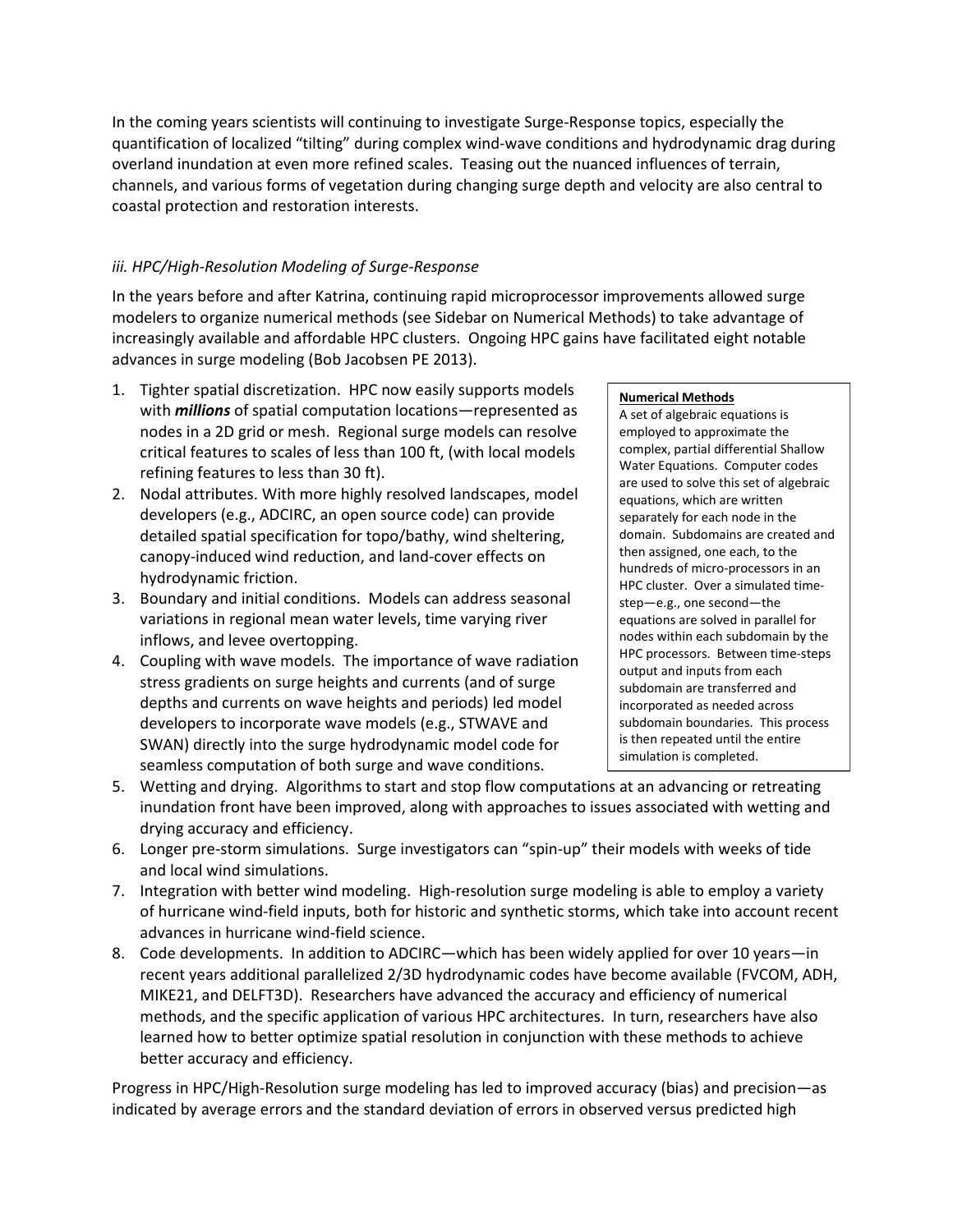In the coming years scientists will continuing to investigate Surge-Response topics, especially the quantification of localized "tilting" during complex wind-wave conditions and hydrodynamic drag during overland inundation at even more refined scales. Teasing out the nuanced influences of terrain, channels, and various forms of vegetation during changing surge depth and velocity are also central to coastal protection and restoration interests.

### *iii. HPC/High-Resolution Modeling of Surge-Response*

In the years before and after Katrina, continuing rapid microprocessor improvements allowed surge modelers to organize numerical methods (see Sidebar on Numerical Methods) to take advantage of increasingly available and affordable HPC clusters. Ongoing HPC gains have facilitated eight notable advances in surge modeling (Bob Jacobsen PE 2013).

- 1. Tighter spatial discretization. HPC now easily supports models with *millions* of spatial computation locations—represented as nodes in a 2D grid or mesh. Regional surge models can resolve critical features to scales of less than 100 ft, (with local models refining features to less than 30 ft).
- 2. Nodal attributes. With more highly resolved landscapes, model developers (e.g., ADCIRC, an open source code) can provide detailed spatial specification for topo/bathy, wind sheltering, canopy-induced wind reduction, and land-cover effects on hydrodynamic friction.
- 3. Boundary and initial conditions. Models can address seasonal variations in regional mean water levels, time varying river inflows, and levee overtopping.
- 4. Coupling with wave models. The importance of wave radiation stress gradients on surge heights and currents (and of surge depths and currents on wave heights and periods) led model developers to incorporate wave models (e.g., STWAVE and SWAN) directly into the surge hydrodynamic model code for seamless computation of both surge and wave conditions.

#### **Numerical Methods**

A set of algebraic equations is employed to approximate the complex, partial differential Shallow Water Equations. Computer codes are used to solve this set of algebraic equations, which are written separately for each node in the domain. Subdomains are created and then assigned, one each, to the hundreds of micro-processors in an HPC cluster. Over a simulated timestep—e.g., one second—the equations are solved in parallel for nodes within each subdomain by the HPC processors. Between time-steps output and inputs from each subdomain are transferred and incorporated as needed across subdomain boundaries. This process is then repeated until the entire simulation is completed.

- 5. Wetting and drying. Algorithms to start and stop flow computations at an advancing or retreating inundation front have been improved, along with approaches to issues associated with wetting and drying accuracy and efficiency.
- 6. Longer pre-storm simulations. Surge investigators can "spin-up" their models with weeks of tide and local wind simulations.
- 7. Integration with better wind modeling. High-resolution surge modeling is able to employ a variety of hurricane wind-field inputs, both for historic and synthetic storms, which take into account recent advances in hurricane wind-field science.
- 8. Code developments. In addition to ADCIRC—which has been widely applied for over 10 years—in recent years additional parallelized 2/3D hydrodynamic codes have become available (FVCOM, ADH, MIKE21, and DELFT3D). Researchers have advanced the accuracy and efficiency of numerical methods, and the specific application of various HPC architectures. In turn, researchers have also learned how to better optimize spatial resolution in conjunction with these methods to achieve better accuracy and efficiency.

Progress in HPC/High-Resolution surge modeling has led to improved accuracy (bias) and precision—as indicated by average errors and the standard deviation of errors in observed versus predicted high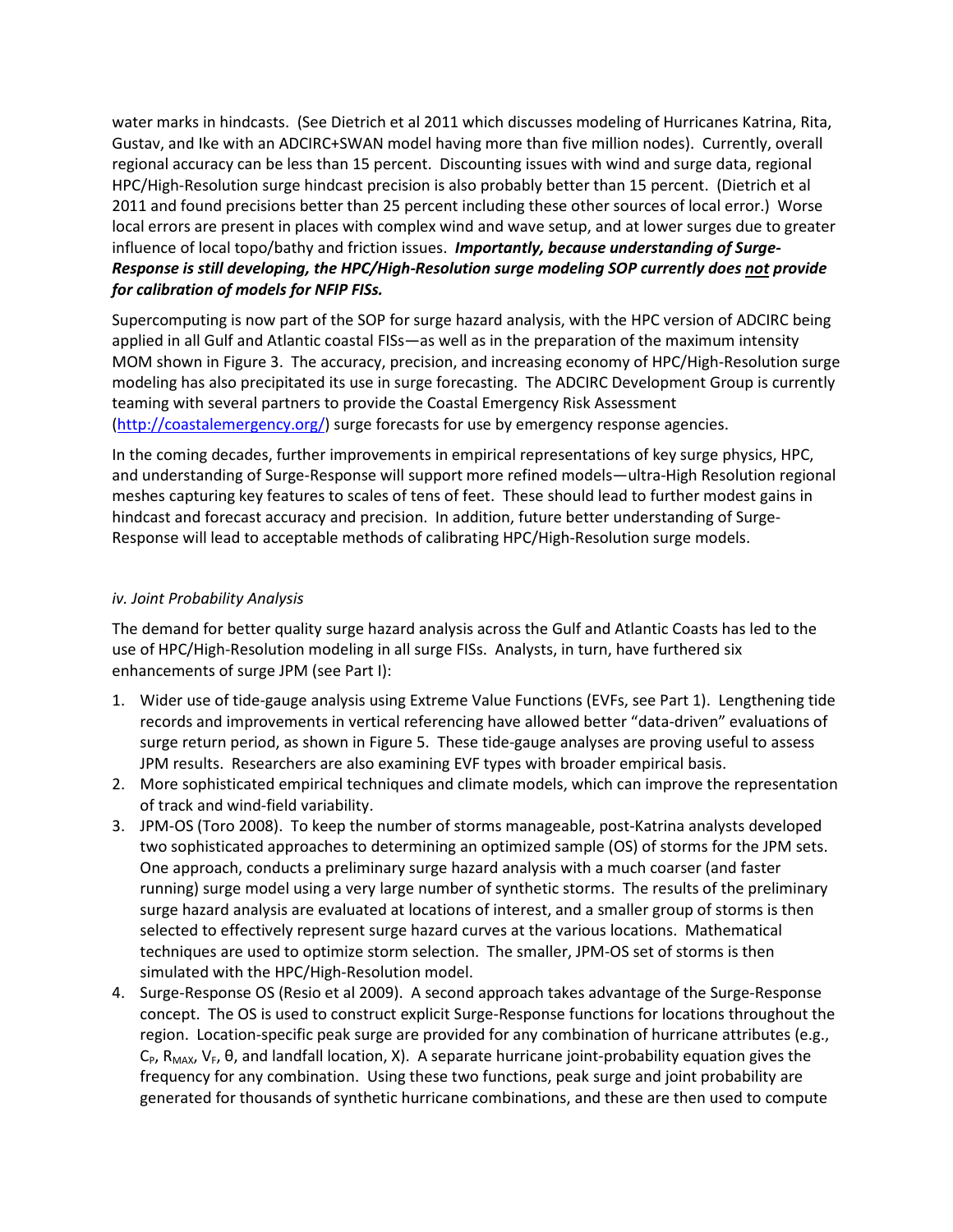water marks in hindcasts. (See Dietrich et al 2011 which discusses modeling of Hurricanes Katrina, Rita, Gustav, and Ike with an ADCIRC+SWAN model having more than five million nodes). Currently, overall regional accuracy can be less than 15 percent. Discounting issues with wind and surge data, regional HPC/High-Resolution surge hindcast precision is also probably better than 15 percent. (Dietrich et al 2011 and found precisions better than 25 percent including these other sources of local error.) Worse local errors are present in places with complex wind and wave setup, and at lower surges due to greater influence of local topo/bathy and friction issues. *Importantly, because understanding of Surge-Response is still developing, the HPC/High-Resolution surge modeling SOP currently does not provide for calibration of models for NFIP FISs.*

Supercomputing is now part of the SOP for surge hazard analysis, with the HPC version of ADCIRC being applied in all Gulf and Atlantic coastal FISs—as well as in the preparation of the maximum intensity MOM shown in Figure 3. The accuracy, precision, and increasing economy of HPC/High-Resolution surge modeling has also precipitated its use in surge forecasting. The ADCIRC Development Group is currently teaming with several partners to provide the Coastal Emergency Risk Assessment (http://coastalemergency.org/) surge forecasts for use by emergency response agencies.

In the coming decades, further improvements in empirical representations of key surge physics, HPC, and understanding of Surge-Response will support more refined models—ultra-High Resolution regional meshes capturing key features to scales of tens of feet. These should lead to further modest gains in hindcast and forecast accuracy and precision. In addition, future better understanding of Surge-Response will lead to acceptable methods of calibrating HPC/High-Resolution surge models.

#### *iv. Joint Probability Analysis*

The demand for better quality surge hazard analysis across the Gulf and Atlantic Coasts has led to the use of HPC/High-Resolution modeling in all surge FISs. Analysts, in turn, have furthered six enhancements of surge JPM (see Part I):

- 1. Wider use of tide-gauge analysis using Extreme Value Functions (EVFs, see Part 1). Lengthening tide records and improvements in vertical referencing have allowed better "data-driven" evaluations of surge return period, as shown in Figure 5. These tide-gauge analyses are proving useful to assess JPM results. Researchers are also examining EVF types with broader empirical basis.
- 2. More sophisticated empirical techniques and climate models, which can improve the representation of track and wind-field variability.
- 3. JPM-OS (Toro 2008). To keep the number of storms manageable, post-Katrina analysts developed two sophisticated approaches to determining an optimized sample (OS) of storms for the JPM sets. One approach, conducts a preliminary surge hazard analysis with a much coarser (and faster running) surge model using a very large number of synthetic storms. The results of the preliminary surge hazard analysis are evaluated at locations of interest, and a smaller group of storms is then selected to effectively represent surge hazard curves at the various locations. Mathematical techniques are used to optimize storm selection. The smaller, JPM-OS set of storms is then simulated with the HPC/High-Resolution model.
- 4. Surge-Response OS (Resio et al 2009). A second approach takes advantage of the Surge-Response concept. The OS is used to construct explicit Surge-Response functions for locations throughout the region. Location-specific peak surge are provided for any combination of hurricane attributes (e.g.,  $C_P$ , R<sub>MAX</sub>, V<sub>F</sub>,  $\theta$ , and landfall location, X). A separate hurricane joint-probability equation gives the frequency for any combination. Using these two functions, peak surge and joint probability are generated for thousands of synthetic hurricane combinations, and these are then used to compute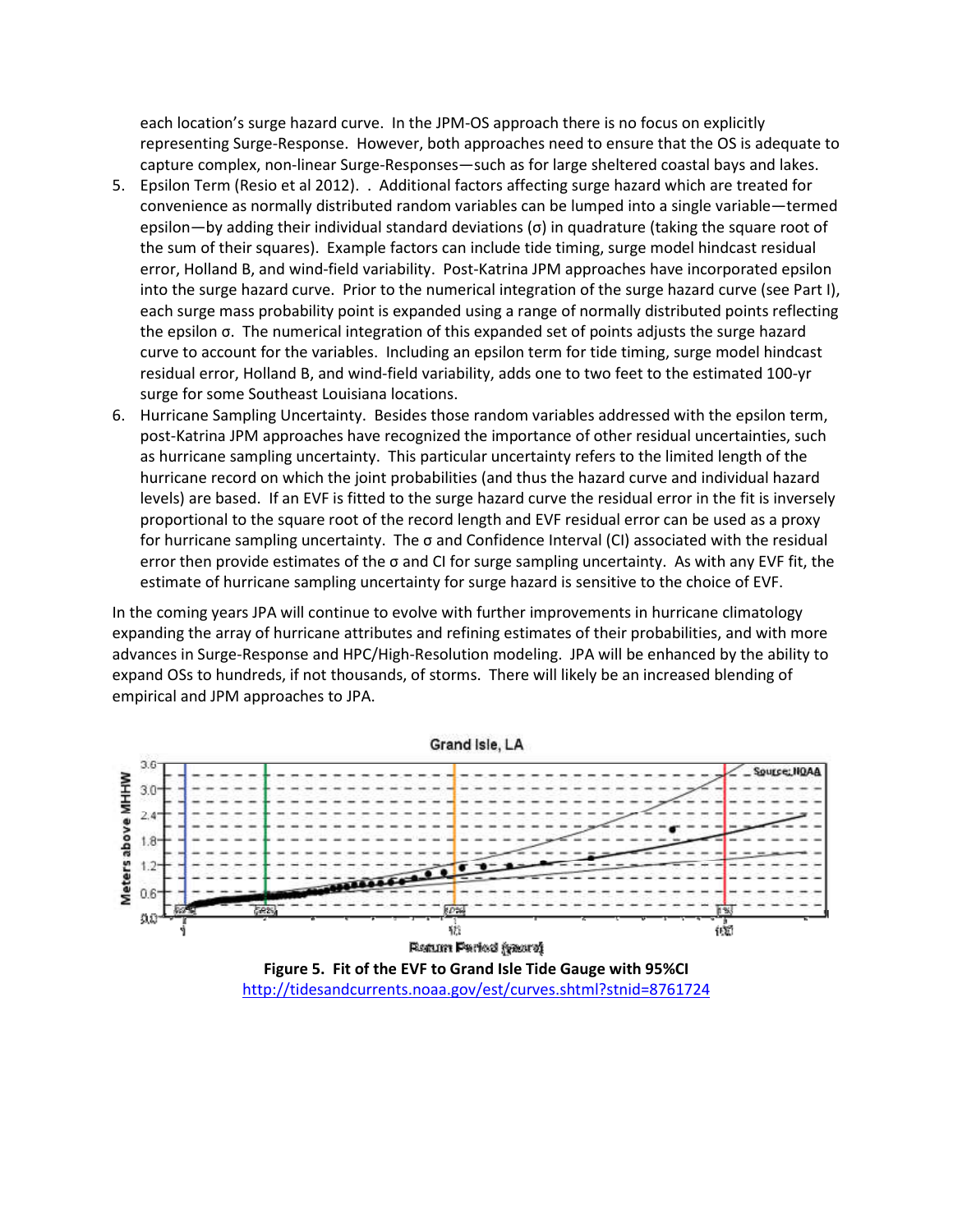each location's surge hazard curve. In the JPM-OS approach there is no focus on explicitly representing Surge-Response. However, both approaches need to ensure that the OS is adequate to capture complex, non-linear Surge-Responses—such as for large sheltered coastal bays and lakes.

- 5. Epsilon Term (Resio et al 2012). . Additional factors affecting surge hazard which are treated for convenience as normally distributed random variables can be lumped into a single variable—termed epsilon—by adding their individual standard deviations (σ) in quadrature (taking the square root of the sum of their squares). Example factors can include tide timing, surge model hindcast residual error, Holland B, and wind-field variability. Post-Katrina JPM approaches have incorporated epsilon into the surge hazard curve. Prior to the numerical integration of the surge hazard curve (see Part I), each surge mass probability point is expanded using a range of normally distributed points reflecting the epsilon σ. The numerical integration of this expanded set of points adjusts the surge hazard curve to account for the variables. Including an epsilon term for tide timing, surge model hindcast residual error, Holland B, and wind-field variability, adds one to two feet to the estimated 100-yr surge for some Southeast Louisiana locations.
- 6. Hurricane Sampling Uncertainty. Besides those random variables addressed with the epsilon term, post-Katrina JPM approaches have recognized the importance of other residual uncertainties, such as hurricane sampling uncertainty. This particular uncertainty refers to the limited length of the hurricane record on which the joint probabilities (and thus the hazard curve and individual hazard levels) are based. If an EVF is fitted to the surge hazard curve the residual error in the fit is inversely proportional to the square root of the record length and EVF residual error can be used as a proxy for hurricane sampling uncertainty. The σ and Confidence Interval (CI) associated with the residual error then provide estimates of the σ and CI for surge sampling uncertainty. As with any EVF fit, the estimate of hurricane sampling uncertainty for surge hazard is sensitive to the choice of EVF.

In the coming years JPA will continue to evolve with further improvements in hurricane climatology expanding the array of hurricane attributes and refining estimates of their probabilities, and with more advances in Surge-Response and HPC/High-Resolution modeling. JPA will be enhanced by the ability to expand OSs to hundreds, if not thousands, of storms. There will likely be an increased blending of empirical and JPM approaches to JPA.

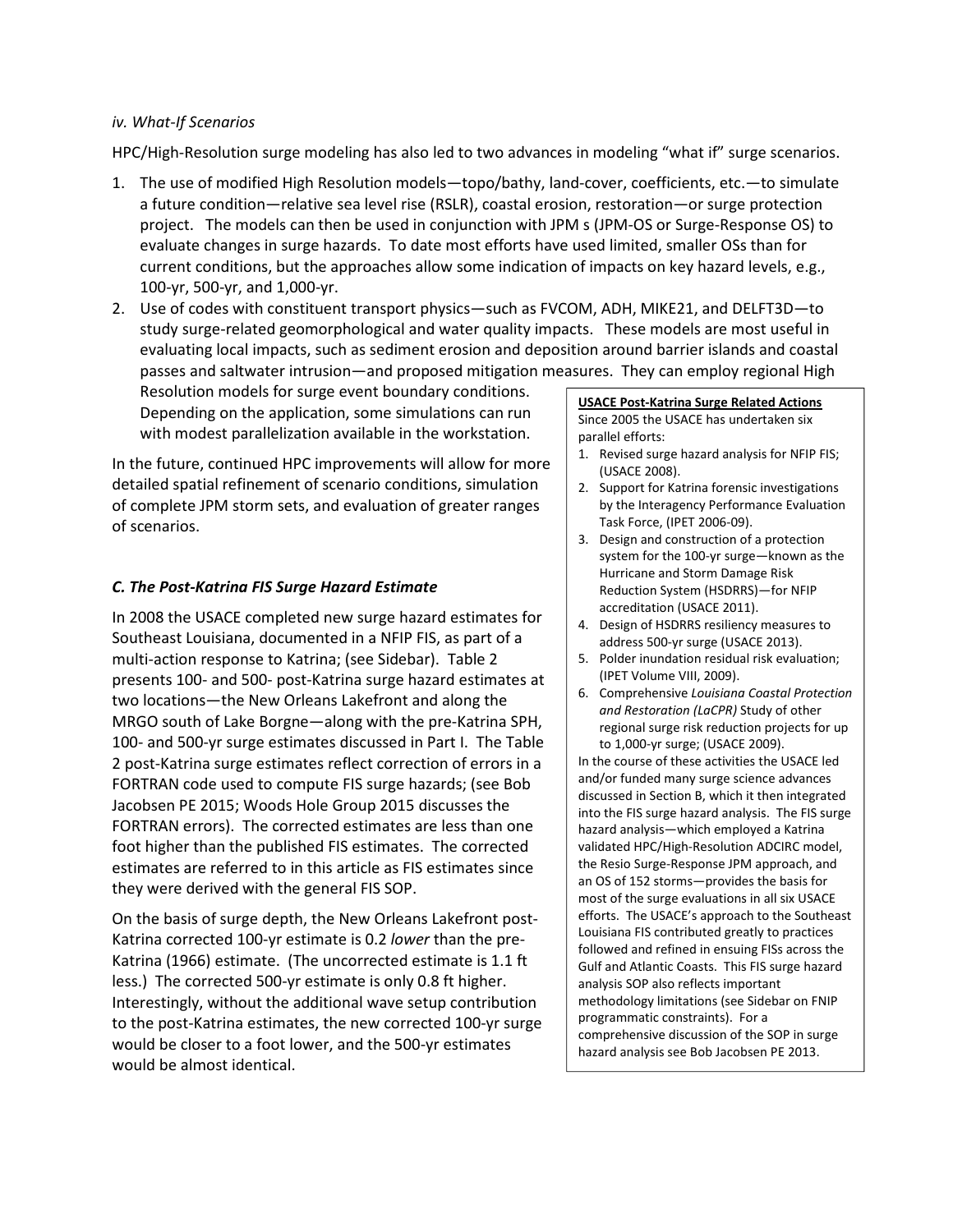#### *iv. What-If Scenarios*

HPC/High-Resolution surge modeling has also led to two advances in modeling "what if" surge scenarios.

- 1. The use of modified High Resolution models—topo/bathy, land-cover, coefficients, etc.—to simulate a future condition—relative sea level rise (RSLR), coastal erosion, restoration—or surge protection project. The models can then be used in conjunction with JPM s (JPM-OS or Surge-Response OS) to evaluate changes in surge hazards. To date most efforts have used limited, smaller OSs than for current conditions, but the approaches allow some indication of impacts on key hazard levels, e.g., 100-yr, 500-yr, and 1,000-yr.
- 2. Use of codes with constituent transport physics—such as FVCOM, ADH, MIKE21, and DELFT3D—to study surge-related geomorphological and water quality impacts. These models are most useful in evaluating local impacts, such as sediment erosion and deposition around barrier islands and coastal passes and saltwater intrusion—and proposed mitigation measures. They can employ regional High

Resolution models for surge event boundary conditions. Depending on the application, some simulations can run with modest parallelization available in the workstation.

In the future, continued HPC improvements will allow for more detailed spatial refinement of scenario conditions, simulation of complete JPM storm sets, and evaluation of greater ranges of scenarios.

#### *C. The Post-Katrina FIS Surge Hazard Estimate*

In 2008 the USACE completed new surge hazard estimates for Southeast Louisiana, documented in a NFIP FIS, as part of a multi-action response to Katrina; (see Sidebar). Table 2 presents 100- and 500- post-Katrina surge hazard estimates at two locations—the New Orleans Lakefront and along the MRGO south of Lake Borgne—along with the pre-Katrina SPH, 100- and 500-yr surge estimates discussed in Part I. The Table 2 post-Katrina surge estimates reflect correction of errors in a FORTRAN code used to compute FIS surge hazards; (see Bob Jacobsen PE 2015; Woods Hole Group 2015 discusses the FORTRAN errors). The corrected estimates are less than one foot higher than the published FIS estimates. The corrected estimates are referred to in this article as FIS estimates since they were derived with the general FIS SOP.

On the basis of surge depth, the New Orleans Lakefront post-Katrina corrected 100-yr estimate is 0.2 *lower* than the pre-Katrina (1966) estimate. (The uncorrected estimate is 1.1 ft less.) The corrected 500-yr estimate is only 0.8 ft higher. Interestingly, without the additional wave setup contribution to the post-Katrina estimates, the new corrected 100-yr surge would be closer to a foot lower, and the 500-yr estimates would be almost identical.

#### **USACE Post-Katrina Surge Related Actions**  Since 2005 the USACE has undertaken six parallel efforts:

- 1. Revised surge hazard analysis for NFIP FIS; (USACE 2008).
- 2. Support for Katrina forensic investigations by the Interagency Performance Evaluation Task Force, (IPET 2006-09).
- 3. Design and construction of a protection system for the 100-yr surge—known as the Hurricane and Storm Damage Risk Reduction System (HSDRRS)—for NFIP accreditation (USACE 2011).
- 4. Design of HSDRRS resiliency measures to address 500-yr surge (USACE 2013).
- 5. Polder inundation residual risk evaluation; (IPET Volume VIII, 2009).
- 6. Comprehensive *Louisiana Coastal Protection and Restoration (LaCPR)* Study of other regional surge risk reduction projects for up to 1,000-yr surge; (USACE 2009).

In the course of these activities the USACE led and/or funded many surge science advances discussed in Section B, which it then integrated into the FIS surge hazard analysis. The FIS surge hazard analysis—which employed a Katrina validated HPC/High-Resolution ADCIRC model, the Resio Surge-Response JPM approach, and an OS of 152 storms—provides the basis for most of the surge evaluations in all six USACE efforts. The USACE's approach to the Southeast Louisiana FIS contributed greatly to practices followed and refined in ensuing FISs across the Gulf and Atlantic Coasts. This FIS surge hazard analysis SOP also reflects important methodology limitations (see Sidebar on FNIP programmatic constraints). For a comprehensive discussion of the SOP in surge hazard analysis see Bob Jacobsen PE 2013.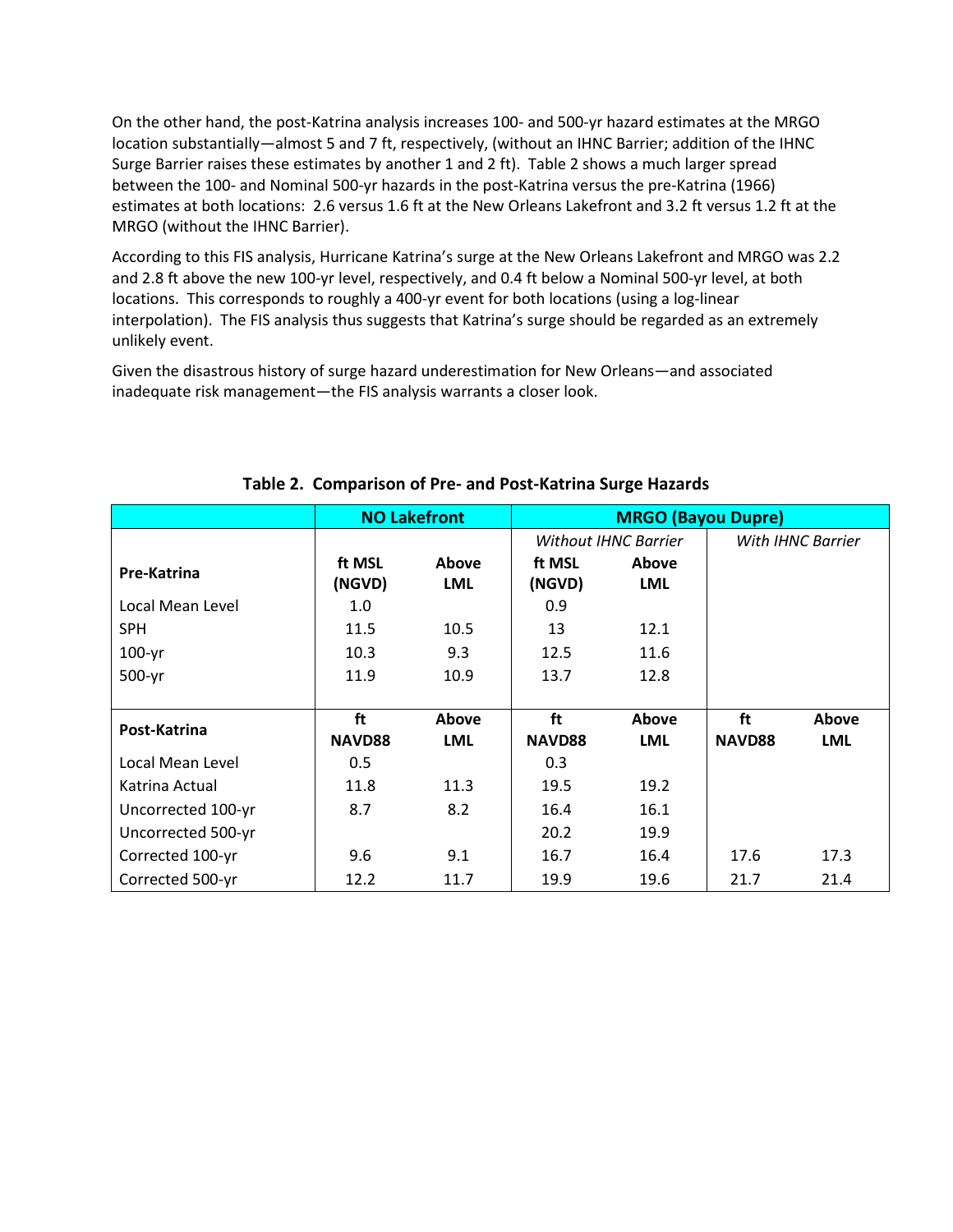On the other hand, the post-Katrina analysis increases 100- and 500-yr hazard estimates at the MRGO location substantially—almost 5 and 7 ft, respectively, (without an IHNC Barrier; addition of the IHNC Surge Barrier raises these estimates by another 1 and 2 ft). Table 2 shows a much larger spread between the 100- and Nominal 500-yr hazards in the post-Katrina versus the pre-Katrina (1966) estimates at both locations: 2.6 versus 1.6 ft at the New Orleans Lakefront and 3.2 ft versus 1.2 ft at the MRGO (without the IHNC Barrier).

According to this FIS analysis, Hurricane Katrina's surge at the New Orleans Lakefront and MRGO was 2.2 and 2.8 ft above the new 100-yr level, respectively, and 0.4 ft below a Nominal 500-yr level, at both locations. This corresponds to roughly a 400-yr event for both locations (using a log-linear interpolation). The FIS analysis thus suggests that Katrina's surge should be regarded as an extremely unlikely event.

Given the disastrous history of surge hazard underestimation for New Orleans—and associated inadequate risk management—the FIS analysis warrants a closer look.

|                    |                  | <b>NO Lakefront</b> | <b>MRGO (Bayou Dupre)</b>   |                     |                   |            |
|--------------------|------------------|---------------------|-----------------------------|---------------------|-------------------|------------|
|                    |                  |                     | <b>Without IHNC Barrier</b> |                     | With IHNC Barrier |            |
| Pre-Katrina        | ft MSL<br>(NGVD) | Above<br><b>LML</b> | ft MSL<br>(NGVD)            | Above<br><b>LML</b> |                   |            |
| Local Mean Level   | 1.0              |                     | 0.9                         |                     |                   |            |
| <b>SPH</b>         | 11.5             | 10.5                | 13                          | 12.1                |                   |            |
| $100-yr$           | 10.3             | 9.3                 | 12.5                        | 11.6                |                   |            |
| 500-yr             | 11.9             | 10.9                | 13.7                        | 12.8                |                   |            |
|                    |                  |                     |                             |                     |                   |            |
| Post-Katrina       | ft               | Above               | ft                          | Above               | ft                | Above      |
|                    | <b>NAVD88</b>    | <b>LML</b>          | <b>NAVD88</b>               | <b>LML</b>          | <b>NAVD88</b>     | <b>LML</b> |
| Local Mean Level   | 0.5              |                     | 0.3                         |                     |                   |            |
| Katrina Actual     | 11.8             | 11.3                | 19.5                        | 19.2                |                   |            |
| Uncorrected 100-yr | 8.7              | 8.2                 | 16.4                        | 16.1                |                   |            |
| Uncorrected 500-yr |                  |                     | 20.2                        | 19.9                |                   |            |
| Corrected 100-yr   | 9.6              | 9.1                 | 16.7                        | 16.4                | 17.6              | 17.3       |
| Corrected 500-yr   | 12.2             | 11.7                | 19.9                        | 19.6                | 21.7              | 21.4       |

## **Table 2. Comparison of Pre- and Post-Katrina Surge Hazards**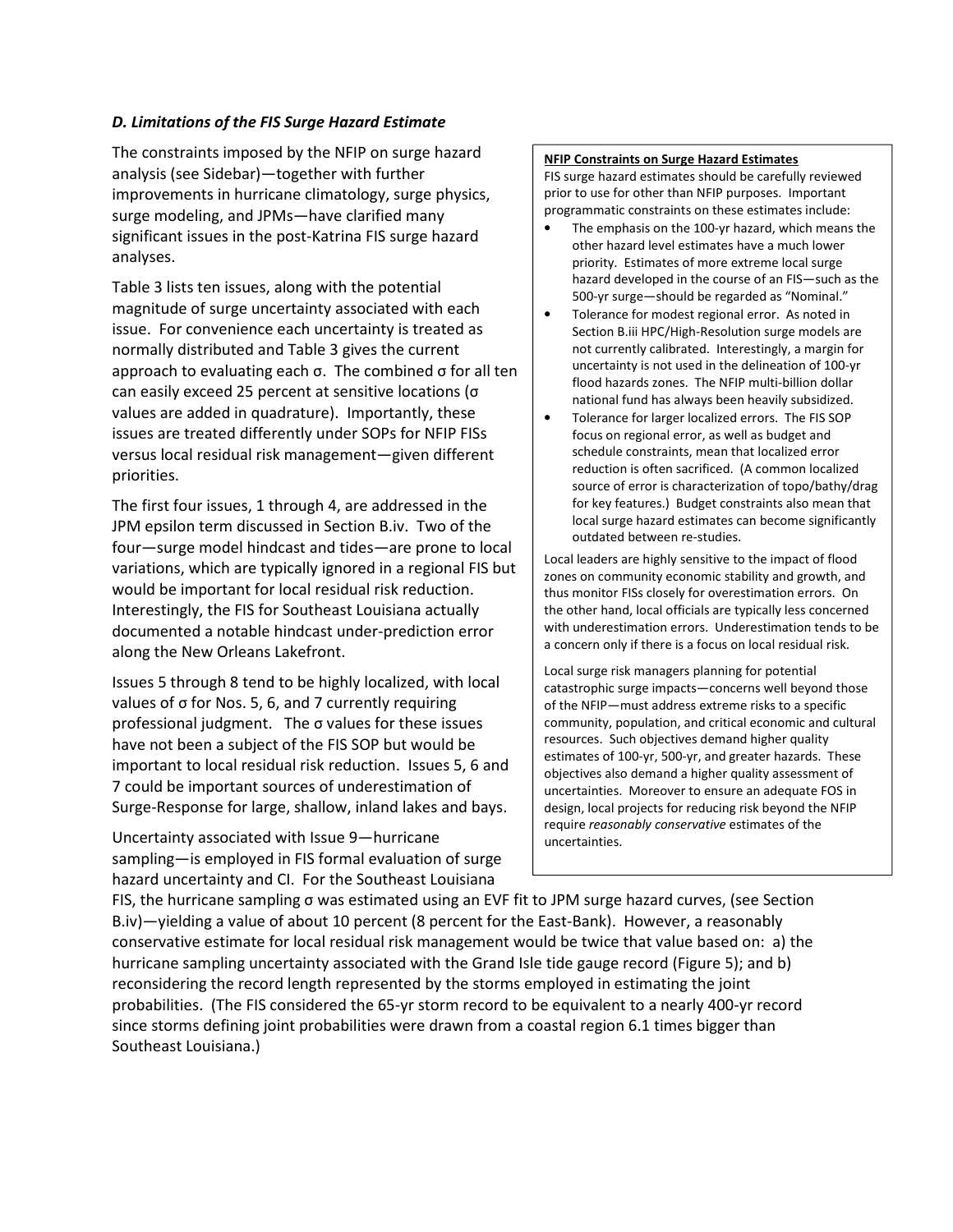#### *D. Limitations of the FIS Surge Hazard Estimate*

The constraints imposed by the NFIP on surge hazard analysis (see Sidebar)—together with further improvements in hurricane climatology, surge physics, surge modeling, and JPMs—have clarified many significant issues in the post-Katrina FIS surge hazard analyses.

Table 3 lists ten issues, along with the potential magnitude of surge uncertainty associated with each issue. For convenience each uncertainty is treated as normally distributed and Table 3 gives the current approach to evaluating each σ. The combined σ for all ten can easily exceed 25 percent at sensitive locations (σ values are added in quadrature). Importantly, these issues are treated differently under SOPs for NFIP FISs versus local residual risk management—given different priorities.

The first four issues, 1 through 4, are addressed in the JPM epsilon term discussed in Section B.iv. Two of the four—surge model hindcast and tides—are prone to local variations, which are typically ignored in a regional FIS but would be important for local residual risk reduction. Interestingly, the FIS for Southeast Louisiana actually documented a notable hindcast under-prediction error along the New Orleans Lakefront.

Issues 5 through 8 tend to be highly localized, with local values of σ for Nos. 5, 6, and 7 currently requiring professional judgment. The σ values for these issues have not been a subject of the FIS SOP but would be important to local residual risk reduction. Issues 5, 6 and 7 could be important sources of underestimation of Surge-Response for large, shallow, inland lakes and bays.

Uncertainty associated with Issue 9—hurricane sampling—is employed in FIS formal evaluation of surge hazard uncertainty and CI. For the Southeast Louisiana

#### **NFIP Constraints on Surge Hazard Estimates**

FIS surge hazard estimates should be carefully reviewed prior to use for other than NFIP purposes. Important programmatic constraints on these estimates include:

- The emphasis on the 100-yr hazard, which means the other hazard level estimates have a much lower priority. Estimates of more extreme local surge hazard developed in the course of an FIS—such as the 500-yr surge—should be regarded as "Nominal."
- Tolerance for modest regional error. As noted in Section B.iii HPC/High-Resolution surge models are not currently calibrated. Interestingly, a margin for uncertainty is not used in the delineation of 100-yr flood hazards zones. The NFIP multi-billion dollar national fund has always been heavily subsidized.
- Tolerance for larger localized errors. The FIS SOP focus on regional error, as well as budget and schedule constraints, mean that localized error reduction is often sacrificed. (A common localized source of error is characterization of topo/bathy/drag for key features.) Budget constraints also mean that local surge hazard estimates can become significantly outdated between re-studies.

Local leaders are highly sensitive to the impact of flood zones on community economic stability and growth, and thus monitor FISs closely for overestimation errors. On the other hand, local officials are typically less concerned with underestimation errors. Underestimation tends to be a concern only if there is a focus on local residual risk.

Local surge risk managers planning for potential catastrophic surge impacts—concerns well beyond those of the NFIP—must address extreme risks to a specific community, population, and critical economic and cultural resources. Such objectives demand higher quality estimates of 100-yr, 500-yr, and greater hazards. These objectives also demand a higher quality assessment of uncertainties. Moreover to ensure an adequate FOS in design, local projects for reducing risk beyond the NFIP require *reasonably conservative* estimates of the uncertainties.

FIS, the hurricane sampling σ was estimated using an EVF fit to JPM surge hazard curves, (see Section B.iv)—yielding a value of about 10 percent (8 percent for the East-Bank). However, a reasonably conservative estimate for local residual risk management would be twice that value based on: a) the hurricane sampling uncertainty associated with the Grand Isle tide gauge record (Figure 5); and b) reconsidering the record length represented by the storms employed in estimating the joint probabilities. (The FIS considered the 65-yr storm record to be equivalent to a nearly 400-yr record since storms defining joint probabilities were drawn from a coastal region 6.1 times bigger than Southeast Louisiana.)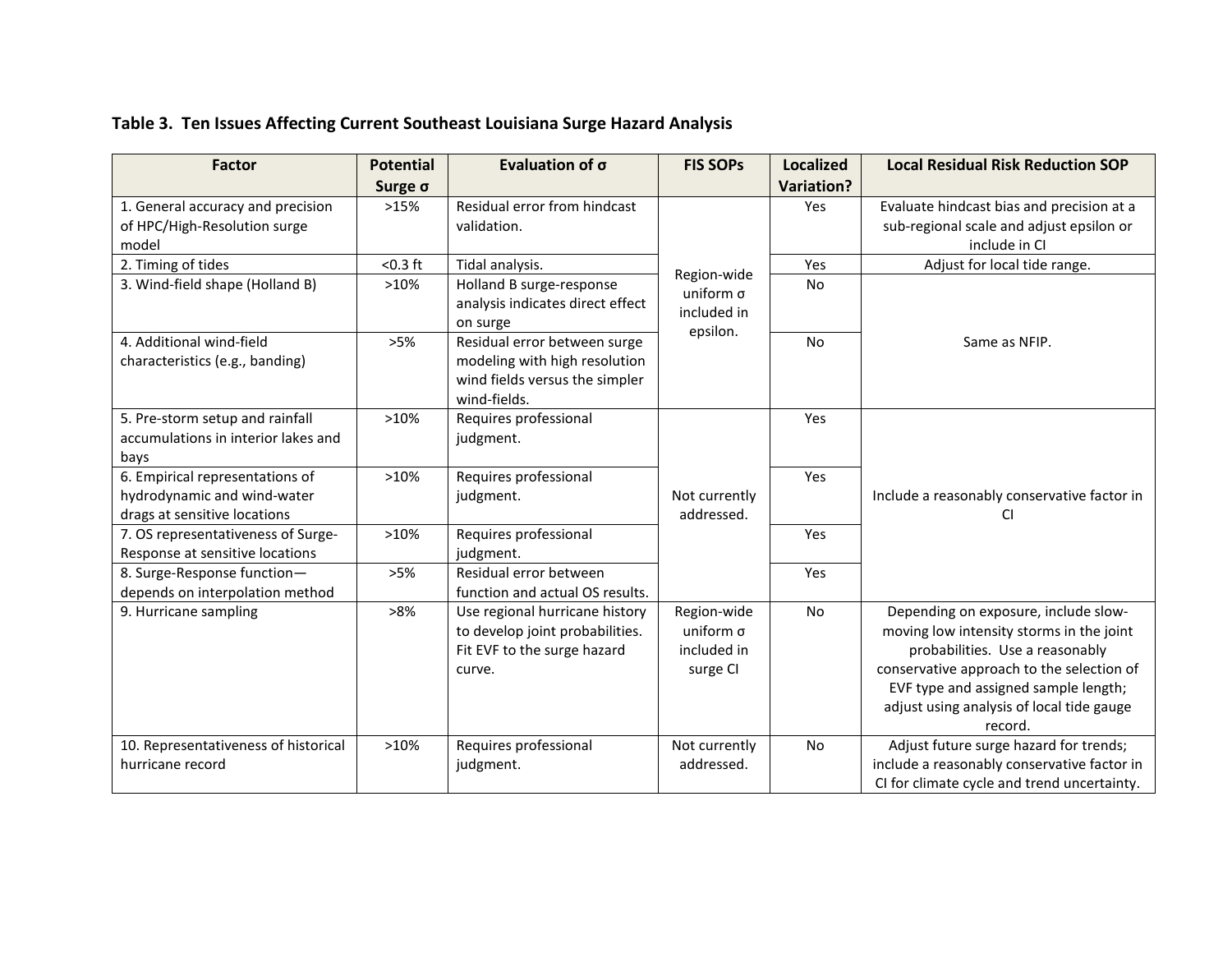| <b>Factor</b>                                                                                  | <b>Potential</b> | Evaluation of σ                                                                                                 | <b>FIS SOPS</b>                                            | <b>Localized</b>  | <b>Local Residual Risk Reduction SOP</b>                                                                                                                                                                                                                         |
|------------------------------------------------------------------------------------------------|------------------|-----------------------------------------------------------------------------------------------------------------|------------------------------------------------------------|-------------------|------------------------------------------------------------------------------------------------------------------------------------------------------------------------------------------------------------------------------------------------------------------|
|                                                                                                | Surge σ          |                                                                                                                 |                                                            | <b>Variation?</b> |                                                                                                                                                                                                                                                                  |
| 1. General accuracy and precision<br>of HPC/High-Resolution surge<br>model                     | >15%             | Residual error from hindcast<br>validation.                                                                     |                                                            | Yes               | Evaluate hindcast bias and precision at a<br>sub-regional scale and adjust epsilon or<br>include in CI                                                                                                                                                           |
| 2. Timing of tides                                                                             | $< 0.3$ ft       | Tidal analysis.                                                                                                 |                                                            | Yes               | Adjust for local tide range.                                                                                                                                                                                                                                     |
| 3. Wind-field shape (Holland B)                                                                | >10%             | Holland B surge-response<br>analysis indicates direct effect<br>on surge                                        | Region-wide<br>uniform $\sigma$<br>included in<br>epsilon. | No                |                                                                                                                                                                                                                                                                  |
| 4. Additional wind-field<br>characteristics (e.g., banding)                                    | >5%              | Residual error between surge<br>modeling with high resolution<br>wind fields versus the simpler<br>wind-fields. |                                                            | <b>No</b>         | Same as NFIP.                                                                                                                                                                                                                                                    |
| 5. Pre-storm setup and rainfall<br>accumulations in interior lakes and<br>bays                 | >10%             | Requires professional<br>judgment.                                                                              |                                                            | Yes               |                                                                                                                                                                                                                                                                  |
| 6. Empirical representations of<br>hydrodynamic and wind-water<br>drags at sensitive locations | >10%             | Requires professional<br>judgment.                                                                              | Not currently<br>addressed.                                | Yes               | Include a reasonably conservative factor in<br>CI.                                                                                                                                                                                                               |
| 7. OS representativeness of Surge-<br>Response at sensitive locations                          | >10%             | Requires professional<br>judgment.                                                                              |                                                            | Yes               |                                                                                                                                                                                                                                                                  |
| 8. Surge-Response function-<br>depends on interpolation method                                 | >5%              | Residual error between<br>function and actual OS results.                                                       |                                                            | Yes               |                                                                                                                                                                                                                                                                  |
| 9. Hurricane sampling                                                                          | >8%              | Use regional hurricane history<br>to develop joint probabilities.<br>Fit EVF to the surge hazard<br>curve.      | Region-wide<br>uniform $\sigma$<br>included in<br>surge CI | <b>No</b>         | Depending on exposure, include slow-<br>moving low intensity storms in the joint<br>probabilities. Use a reasonably<br>conservative approach to the selection of<br>EVF type and assigned sample length;<br>adjust using analysis of local tide gauge<br>record. |
| 10. Representativeness of historical<br>hurricane record                                       | >10%             | Requires professional<br>judgment.                                                                              | Not currently<br>addressed.                                | No                | Adjust future surge hazard for trends;<br>include a reasonably conservative factor in<br>CI for climate cycle and trend uncertainty.                                                                                                                             |

## **Table 3. Ten Issues Affecting Current Southeast Louisiana Surge Hazard Analysis**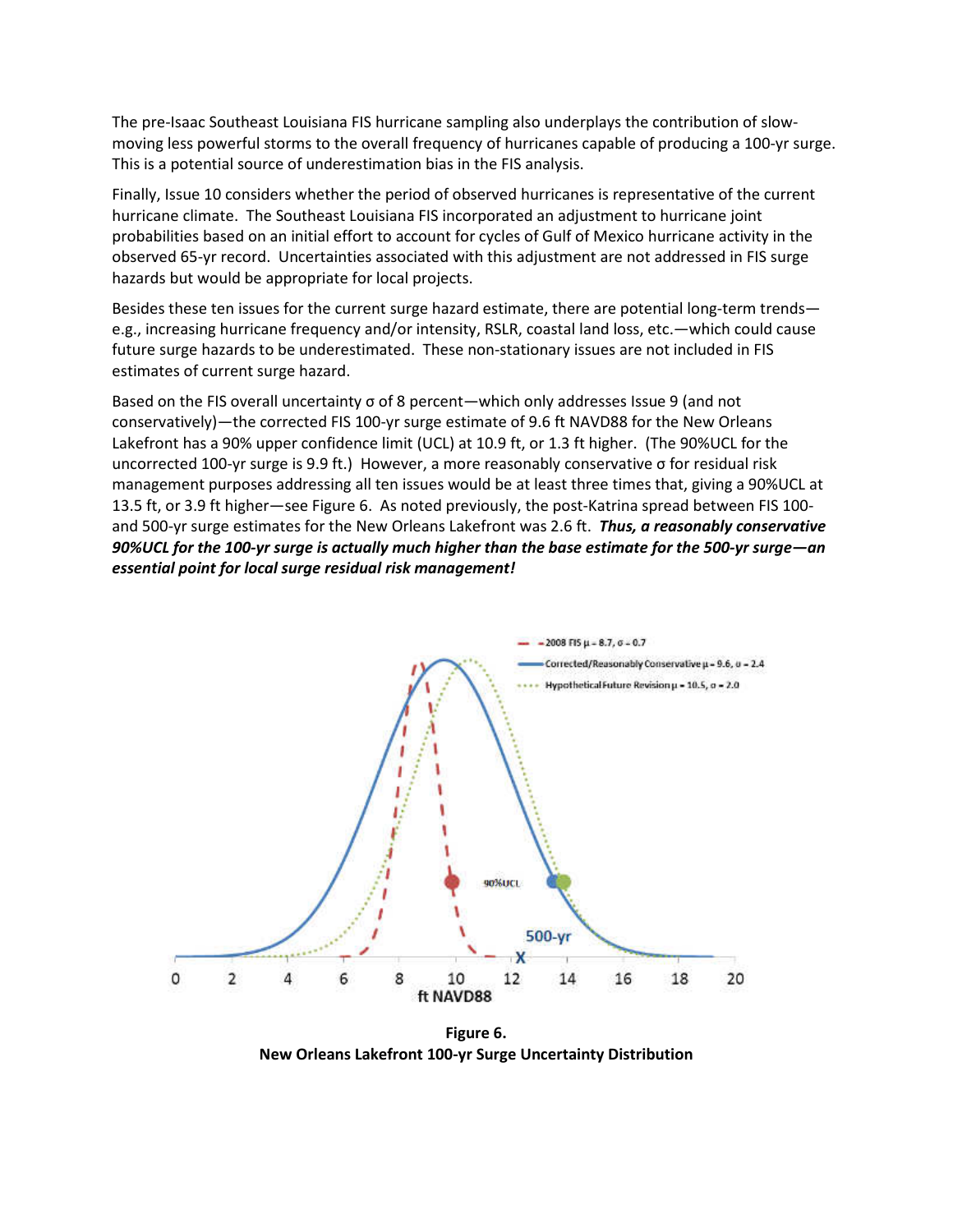The pre-Isaac Southeast Louisiana FIS hurricane sampling also underplays the contribution of slowmoving less powerful storms to the overall frequency of hurricanes capable of producing a 100-yr surge. This is a potential source of underestimation bias in the FIS analysis.

Finally, Issue 10 considers whether the period of observed hurricanes is representative of the current hurricane climate. The Southeast Louisiana FIS incorporated an adjustment to hurricane joint probabilities based on an initial effort to account for cycles of Gulf of Mexico hurricane activity in the observed 65-yr record. Uncertainties associated with this adjustment are not addressed in FIS surge hazards but would be appropriate for local projects.

Besides these ten issues for the current surge hazard estimate, there are potential long-term trends e.g., increasing hurricane frequency and/or intensity, RSLR, coastal land loss, etc.—which could cause future surge hazards to be underestimated. These non-stationary issues are not included in FIS estimates of current surge hazard.

Based on the FIS overall uncertainty σ of 8 percent—which only addresses Issue 9 (and not conservatively)—the corrected FIS 100-yr surge estimate of 9.6 ft NAVD88 for the New Orleans Lakefront has a 90% upper confidence limit (UCL) at 10.9 ft, or 1.3 ft higher. (The 90%UCL for the uncorrected 100-yr surge is 9.9 ft.) However, a more reasonably conservative σ for residual risk management purposes addressing all ten issues would be at least three times that, giving a 90%UCL at 13.5 ft, or 3.9 ft higher—see Figure 6. As noted previously, the post-Katrina spread between FIS 100 and 500-yr surge estimates for the New Orleans Lakefront was 2.6 ft. *Thus, a reasonably conservative 90%UCL for the 100-yr surge is actually much higher than the base estimate for the 500-yr surge—an essential point for local surge residual risk management!*



**Figure 6. New Orleans Lakefront 100-yr Surge Uncertainty Distribution**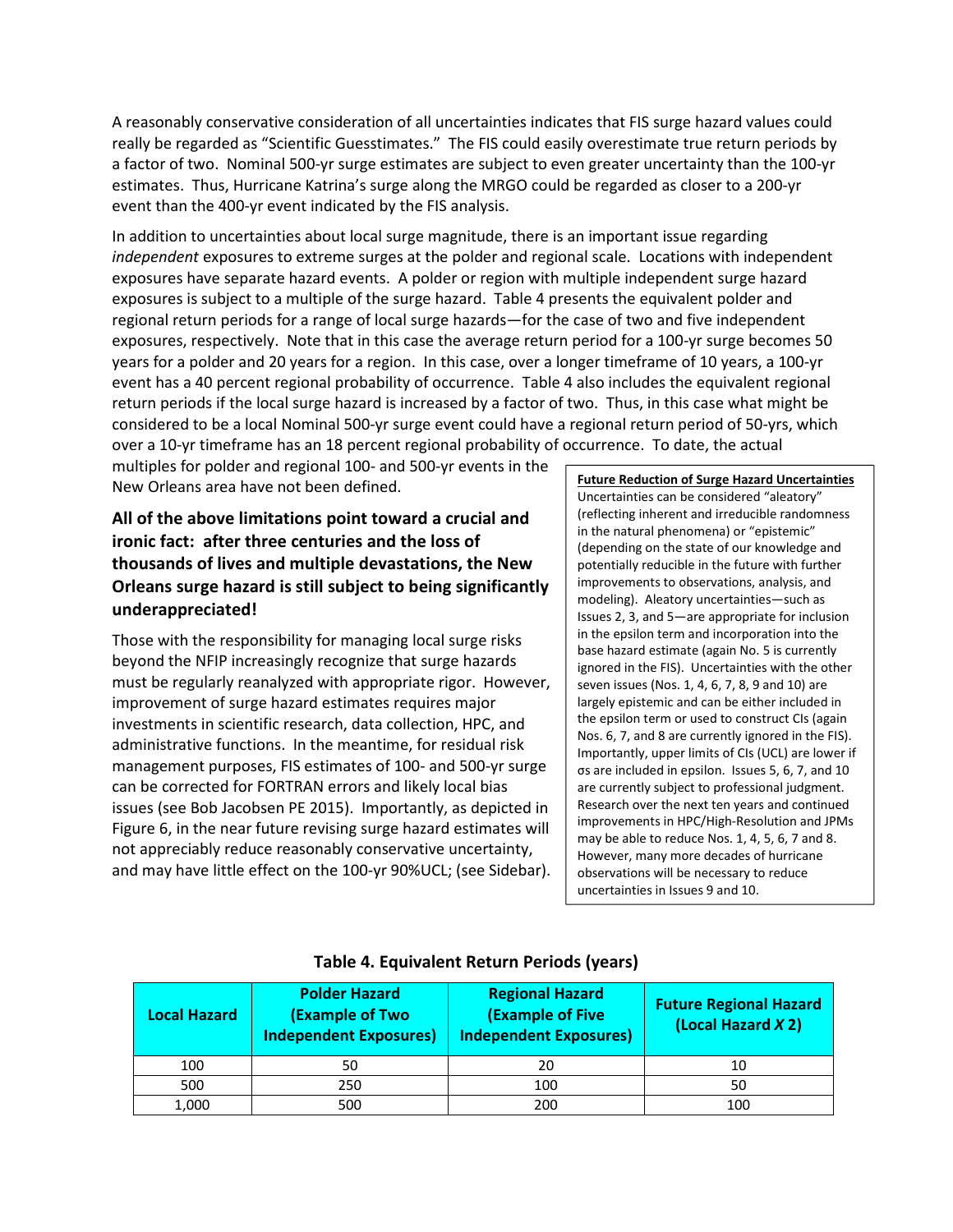A reasonably conservative consideration of all uncertainties indicates that FIS surge hazard values could really be regarded as "Scientific Guesstimates." The FIS could easily overestimate true return periods by a factor of two. Nominal 500-yr surge estimates are subject to even greater uncertainty than the 100-yr estimates. Thus, Hurricane Katrina's surge along the MRGO could be regarded as closer to a 200-yr event than the 400-yr event indicated by the FIS analysis.

In addition to uncertainties about local surge magnitude, there is an important issue regarding *independent* exposures to extreme surges at the polder and regional scale. Locations with independent exposures have separate hazard events. A polder or region with multiple independent surge hazard exposures is subject to a multiple of the surge hazard. Table 4 presents the equivalent polder and regional return periods for a range of local surge hazards—for the case of two and five independent exposures, respectively. Note that in this case the average return period for a 100-yr surge becomes 50 years for a polder and 20 years for a region. In this case, over a longer timeframe of 10 years, a 100-yr event has a 40 percent regional probability of occurrence. Table 4 also includes the equivalent regional return periods if the local surge hazard is increased by a factor of two. Thus, in this case what might be considered to be a local Nominal 500-yr surge event could have a regional return period of 50-yrs, which over a 10-yr timeframe has an 18 percent regional probability of occurrence. To date, the actual

multiples for polder and regional 100- and 500-yr events in the New Orleans area have not been defined.

## **All of the above limitations point toward a crucial and ironic fact: after three centuries and the loss of thousands of lives and multiple devastations, the New Orleans surge hazard is still subject to being significantly underappreciated!**

Those with the responsibility for managing local surge risks beyond the NFIP increasingly recognize that surge hazards must be regularly reanalyzed with appropriate rigor. However, improvement of surge hazard estimates requires major investments in scientific research, data collection, HPC, and administrative functions. In the meantime, for residual risk management purposes, FIS estimates of 100- and 500-yr surge can be corrected for FORTRAN errors and likely local bias issues (see Bob Jacobsen PE 2015). Importantly, as depicted in Figure 6, in the near future revising surge hazard estimates will not appreciably reduce reasonably conservative uncertainty, and may have little effect on the 100-yr 90%UCL; (see Sidebar).

**Future Reduction of Surge Hazard Uncertainties**  Uncertainties can be considered "aleatory" (reflecting inherent and irreducible randomness in the natural phenomena) or "epistemic" (depending on the state of our knowledge and potentially reducible in the future with further improvements to observations, analysis, and modeling). Aleatory uncertainties—such as Issues 2, 3, and 5—are appropriate for inclusion in the epsilon term and incorporation into the base hazard estimate (again No. 5 is currently ignored in the FIS). Uncertainties with the other seven issues (Nos. 1, 4, 6, 7, 8, 9 and 10) are largely epistemic and can be either included in the epsilon term or used to construct CIs (again Nos. 6, 7, and 8 are currently ignored in the FIS). Importantly, upper limits of CIs (UCL) are lower if σs are included in epsilon. Issues 5, 6, 7, and 10 are currently subject to professional judgment. Research over the next ten years and continued improvements in HPC/High-Resolution and JPMs may be able to reduce Nos. 1, 4, 5, 6, 7 and 8. However, many more decades of hurricane observations will be necessary to reduce uncertainties in Issues 9 and 10.

| <b>Local Hazard</b> | <b>Polder Hazard</b><br><b>(Example of Two</b><br><b>Independent Exposures)</b> | <b>Regional Hazard</b><br><b>(Example of Five</b><br><b>Independent Exposures)</b> | <b>Future Regional Hazard</b><br>(Local Hazard X 2) |  |
|---------------------|---------------------------------------------------------------------------------|------------------------------------------------------------------------------------|-----------------------------------------------------|--|
| 100                 | 50                                                                              | 20                                                                                 | 10                                                  |  |
| 500                 | 250                                                                             | 100                                                                                | 50                                                  |  |
| 1,000               | 500                                                                             | 200                                                                                | 100                                                 |  |

## **Table 4. Equivalent Return Periods (years)**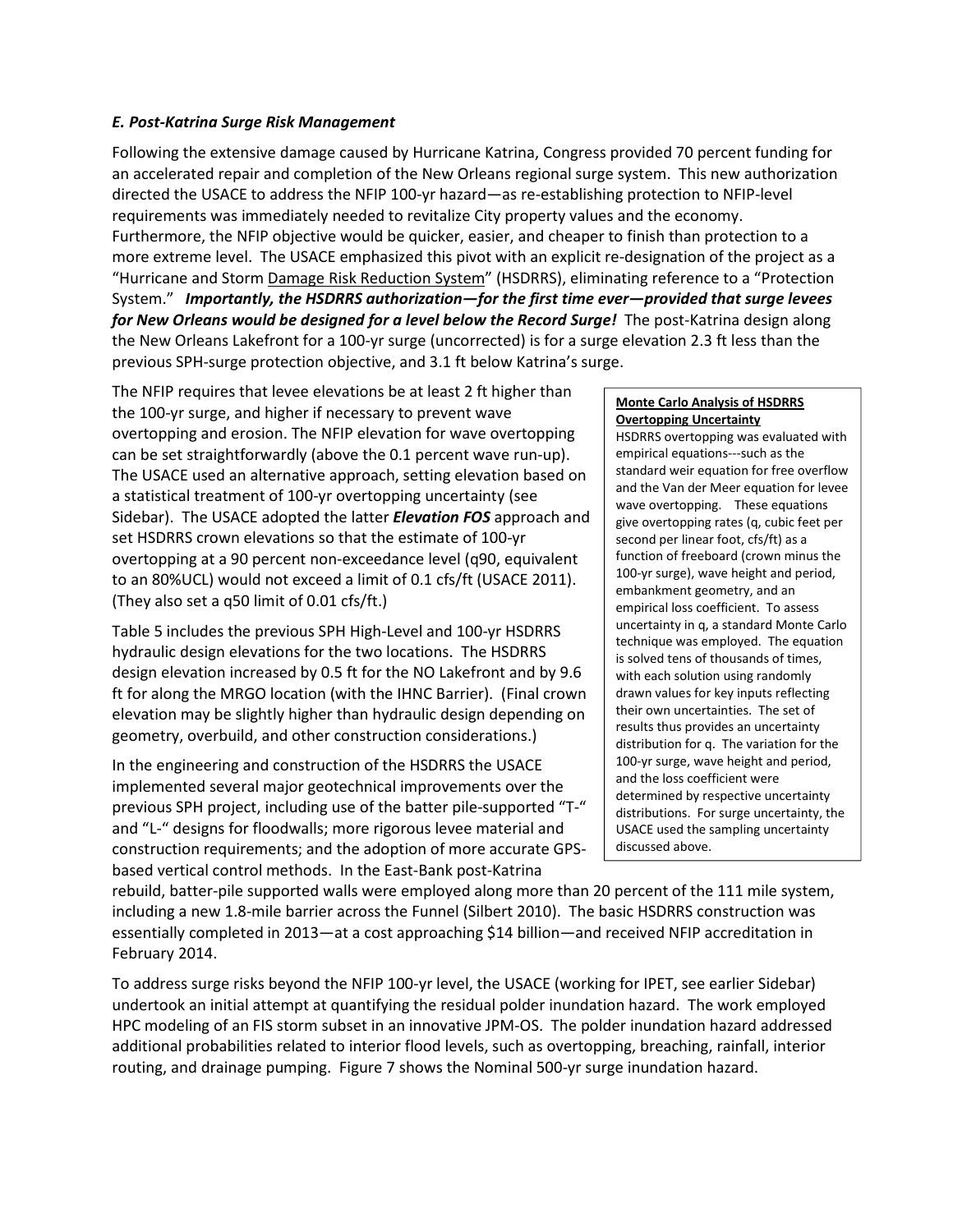#### *E. Post-Katrina Surge Risk Management*

Following the extensive damage caused by Hurricane Katrina, Congress provided 70 percent funding for an accelerated repair and completion of the New Orleans regional surge system. This new authorization directed the USACE to address the NFIP 100-yr hazard—as re-establishing protection to NFIP-level requirements was immediately needed to revitalize City property values and the economy. Furthermore, the NFIP objective would be quicker, easier, and cheaper to finish than protection to a more extreme level. The USACE emphasized this pivot with an explicit re-designation of the project as a "Hurricane and Storm Damage Risk Reduction System" (HSDRRS), eliminating reference to a "Protection System." *Importantly, the HSDRRS authorization—for the first time ever—provided that surge levees for New Orleans would be designed for a level below the Record Surge!* The post-Katrina design along the New Orleans Lakefront for a 100-yr surge (uncorrected) is for a surge elevation 2.3 ft less than the previous SPH-surge protection objective, and 3.1 ft below Katrina's surge.

The NFIP requires that levee elevations be at least 2 ft higher than the 100-yr surge, and higher if necessary to prevent wave overtopping and erosion. The NFIP elevation for wave overtopping can be set straightforwardly (above the 0.1 percent wave run-up). The USACE used an alternative approach, setting elevation based on a statistical treatment of 100-yr overtopping uncertainty (see Sidebar). The USACE adopted the latter *Elevation FOS* approach and set HSDRRS crown elevations so that the estimate of 100-yr overtopping at a 90 percent non-exceedance level (q90, equivalent to an 80%UCL) would not exceed a limit of 0.1 cfs/ft (USACE 2011). (They also set a q50 limit of 0.01 cfs/ft.)

Table 5 includes the previous SPH High-Level and 100-yr HSDRRS hydraulic design elevations for the two locations. The HSDRRS design elevation increased by 0.5 ft for the NO Lakefront and by 9.6 ft for along the MRGO location (with the IHNC Barrier). (Final crown elevation may be slightly higher than hydraulic design depending on geometry, overbuild, and other construction considerations.)

In the engineering and construction of the HSDRRS the USACE implemented several major geotechnical improvements over the previous SPH project, including use of the batter pile-supported "T-" and "L-" designs for floodwalls; more rigorous levee material and construction requirements; and the adoption of more accurate GPSbased vertical control methods. In the East-Bank post-Katrina

#### **Monte Carlo Analysis of HSDRRS Overtopping Uncertainty**

HSDRRS overtopping was evaluated with empirical equations---such as the standard weir equation for free overflow and the Van der Meer equation for levee wave overtopping. These equations give overtopping rates (q, cubic feet per second per linear foot, cfs/ft) as a function of freeboard (crown minus the 100-yr surge), wave height and period, embankment geometry, and an empirical loss coefficient. To assess uncertainty in q, a standard Monte Carlo technique was employed. The equation is solved tens of thousands of times, with each solution using randomly drawn values for key inputs reflecting their own uncertainties. The set of results thus provides an uncertainty distribution for q. The variation for the 100-yr surge, wave height and period, and the loss coefficient were determined by respective uncertainty distributions. For surge uncertainty, the USACE used the sampling uncertainty discussed above.

rebuild, batter-pile supported walls were employed along more than 20 percent of the 111 mile system, including a new 1.8-mile barrier across the Funnel (Silbert 2010). The basic HSDRRS construction was essentially completed in 2013—at a cost approaching \$14 billion—and received NFIP accreditation in February 2014.

To address surge risks beyond the NFIP 100-yr level, the USACE (working for IPET, see earlier Sidebar) undertook an initial attempt at quantifying the residual polder inundation hazard. The work employed HPC modeling of an FIS storm subset in an innovative JPM-OS. The polder inundation hazard addressed additional probabilities related to interior flood levels, such as overtopping, breaching, rainfall, interior routing, and drainage pumping. Figure 7 shows the Nominal 500-yr surge inundation hazard.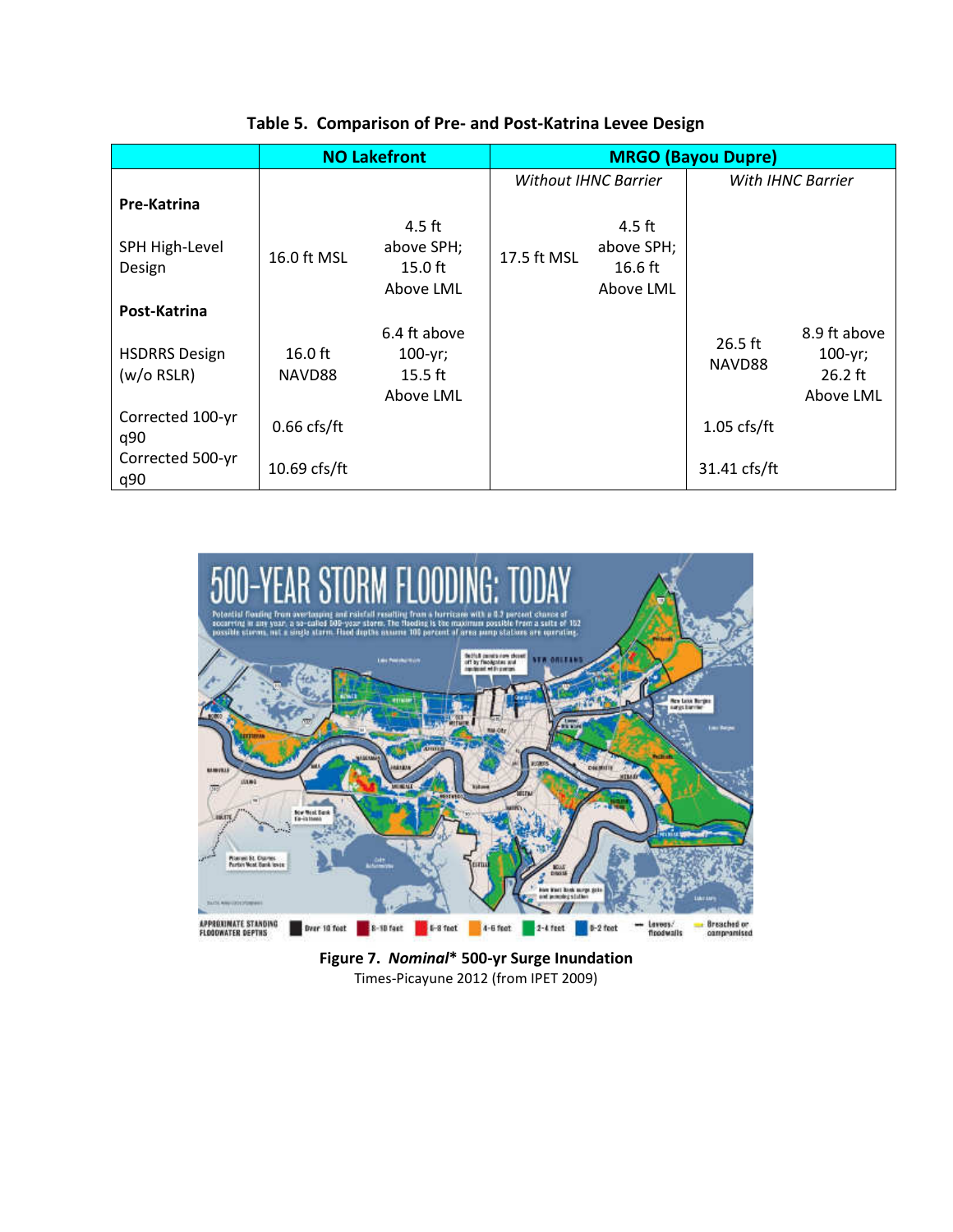|                                      |                             | <b>NO Lakefront</b>                       |                             | <b>MRGO (Bayou Dupre)</b> |                     |                                      |  |
|--------------------------------------|-----------------------------|-------------------------------------------|-----------------------------|---------------------------|---------------------|--------------------------------------|--|
|                                      |                             |                                           | <b>Without IHNC Barrier</b> |                           | With IHNC Barrier   |                                      |  |
| Pre-Katrina                          |                             |                                           |                             |                           |                     |                                      |  |
|                                      |                             | $4.5$ ft                                  |                             | 4.5 ft                    |                     |                                      |  |
| SPH High-Level                       | 16.0 ft MSL                 | above SPH;                                | 17.5 ft MSL                 | above SPH;                |                     |                                      |  |
| Design                               |                             | $15.0$ ft                                 |                             | $16.6$ ft                 |                     |                                      |  |
|                                      |                             | Above LML                                 |                             | Above LML                 |                     |                                      |  |
| Post-Katrina                         |                             |                                           |                             |                           |                     |                                      |  |
| <b>HSDRRS Design</b><br>$(w/o$ RSLR) | $16.0 \text{ ft}$<br>NAVD88 | 6.4 ft above<br>$100 - yr$ ;<br>$15.5$ ft |                             |                           | $26.5$ ft<br>NAVD88 | 8.9 ft above<br>$100-yr;$<br>26.2 ft |  |
|                                      |                             | Above LML                                 |                             |                           |                     | Above LML                            |  |
| Corrected 100-yr<br>q90              | $0.66$ cfs/ft               |                                           |                             |                           | $1.05$ cfs/ft       |                                      |  |
| Corrected 500-yr<br>q90              | $10.69$ cfs/ft              |                                           |                             |                           | 31.41 cfs/ft        |                                      |  |

## **Table 5. Comparison of Pre- and Post-Katrina Levee Design**



**Figure 7.** *Nominal***\* 500-yr Surge Inundation**  Times-Picayune 2012 (from IPET 2009)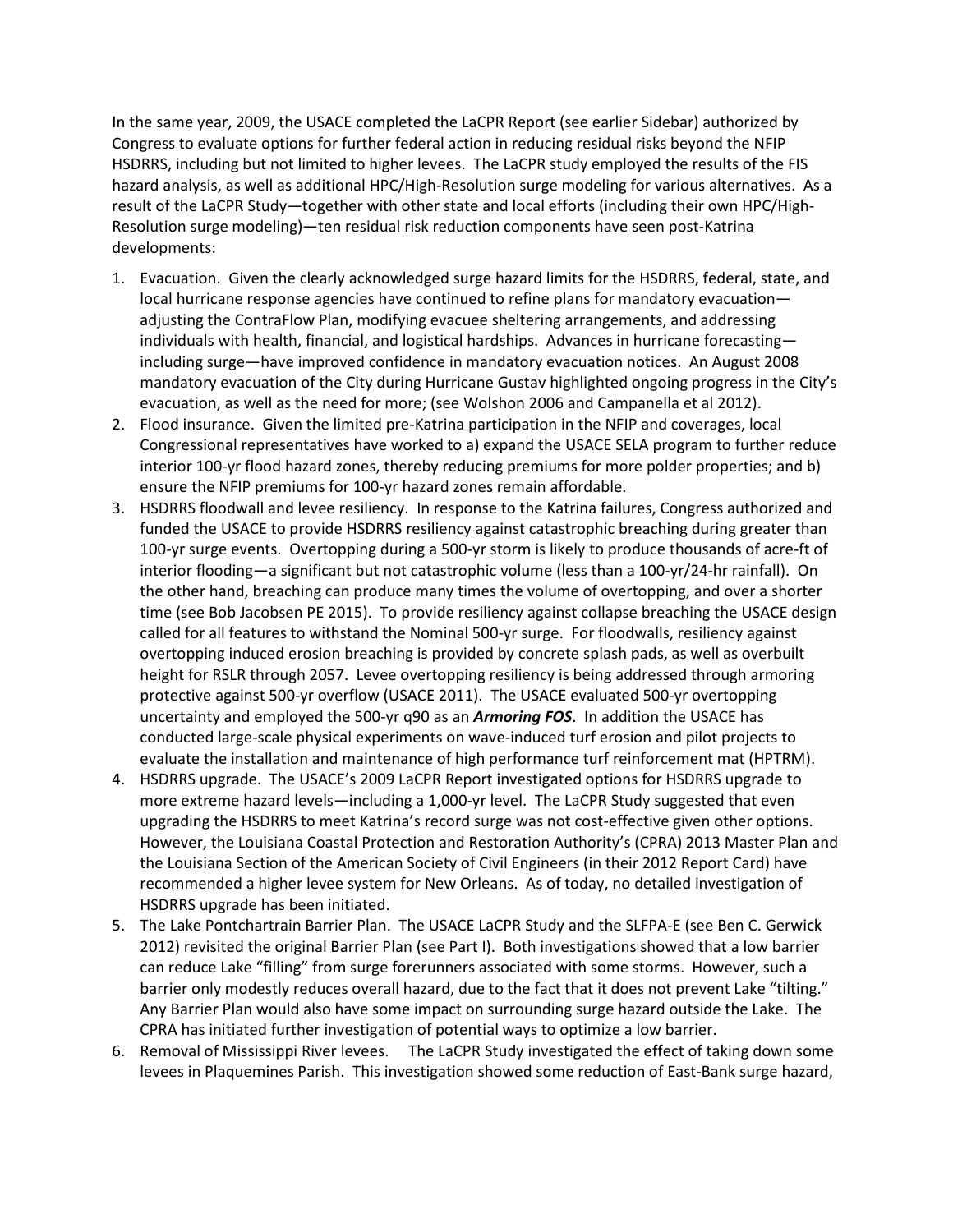In the same year, 2009, the USACE completed the LaCPR Report (see earlier Sidebar) authorized by Congress to evaluate options for further federal action in reducing residual risks beyond the NFIP HSDRRS, including but not limited to higher levees. The LaCPR study employed the results of the FIS hazard analysis, as well as additional HPC/High-Resolution surge modeling for various alternatives. As a result of the LaCPR Study—together with other state and local efforts (including their own HPC/High-Resolution surge modeling)—ten residual risk reduction components have seen post-Katrina developments:

- 1. Evacuation. Given the clearly acknowledged surge hazard limits for the HSDRRS, federal, state, and local hurricane response agencies have continued to refine plans for mandatory evacuation adjusting the ContraFlow Plan, modifying evacuee sheltering arrangements, and addressing individuals with health, financial, and logistical hardships. Advances in hurricane forecasting including surge—have improved confidence in mandatory evacuation notices. An August 2008 mandatory evacuation of the City during Hurricane Gustav highlighted ongoing progress in the City's evacuation, as well as the need for more; (see Wolshon 2006 and Campanella et al 2012).
- 2. Flood insurance. Given the limited pre-Katrina participation in the NFIP and coverages, local Congressional representatives have worked to a) expand the USACE SELA program to further reduce interior 100-yr flood hazard zones, thereby reducing premiums for more polder properties; and b) ensure the NFIP premiums for 100-yr hazard zones remain affordable.
- 3. HSDRRS floodwall and levee resiliency. In response to the Katrina failures, Congress authorized and funded the USACE to provide HSDRRS resiliency against catastrophic breaching during greater than 100-yr surge events. Overtopping during a 500-yr storm is likely to produce thousands of acre-ft of interior flooding—a significant but not catastrophic volume (less than a 100-yr/24-hr rainfall). On the other hand, breaching can produce many times the volume of overtopping, and over a shorter time (see Bob Jacobsen PE 2015). To provide resiliency against collapse breaching the USACE design called for all features to withstand the Nominal 500-yr surge. For floodwalls, resiliency against overtopping induced erosion breaching is provided by concrete splash pads, as well as overbuilt height for RSLR through 2057. Levee overtopping resiliency is being addressed through armoring protective against 500-yr overflow (USACE 2011). The USACE evaluated 500-yr overtopping uncertainty and employed the 500-yr q90 as an *Armoring FOS*. In addition the USACE has conducted large-scale physical experiments on wave-induced turf erosion and pilot projects to evaluate the installation and maintenance of high performance turf reinforcement mat (HPTRM).
- 4. HSDRRS upgrade. The USACE's 2009 LaCPR Report investigated options for HSDRRS upgrade to more extreme hazard levels—including a 1,000-yr level. The LaCPR Study suggested that even upgrading the HSDRRS to meet Katrina's record surge was not cost-effective given other options. However, the Louisiana Coastal Protection and Restoration Authority's (CPRA) 2013 Master Plan and the Louisiana Section of the American Society of Civil Engineers (in their 2012 Report Card) have recommended a higher levee system for New Orleans. As of today, no detailed investigation of HSDRRS upgrade has been initiated.
- 5. The Lake Pontchartrain Barrier Plan. The USACE LaCPR Study and the SLFPA-E (see Ben C. Gerwick 2012) revisited the original Barrier Plan (see Part I). Both investigations showed that a low barrier can reduce Lake "filling" from surge forerunners associated with some storms. However, such a barrier only modestly reduces overall hazard, due to the fact that it does not prevent Lake "tilting." Any Barrier Plan would also have some impact on surrounding surge hazard outside the Lake. The CPRA has initiated further investigation of potential ways to optimize a low barrier.
- 6. Removal of Mississippi River levees. The LaCPR Study investigated the effect of taking down some levees in Plaquemines Parish. This investigation showed some reduction of East-Bank surge hazard,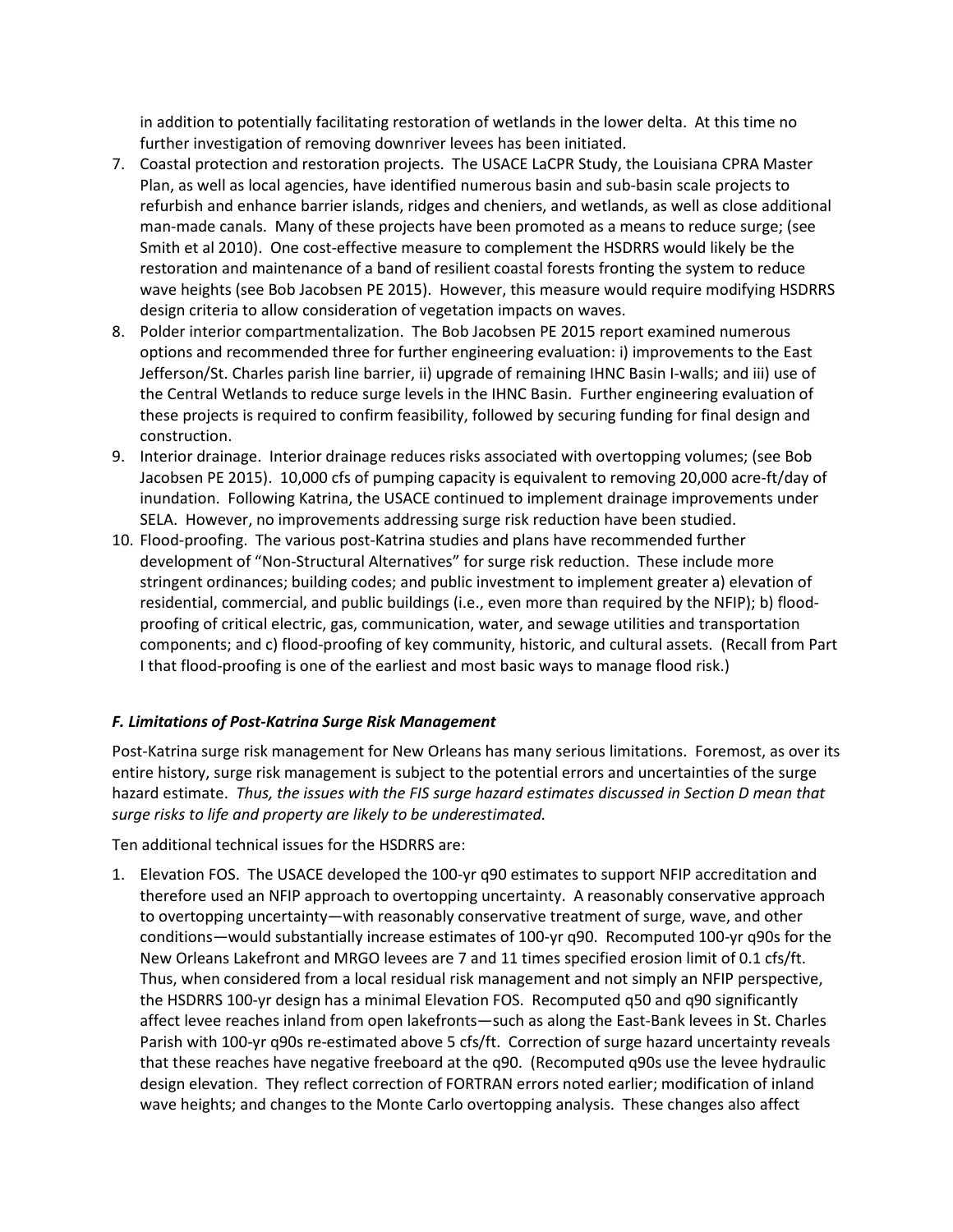in addition to potentially facilitating restoration of wetlands in the lower delta. At this time no further investigation of removing downriver levees has been initiated.

- 7. Coastal protection and restoration projects. The USACE LaCPR Study, the Louisiana CPRA Master Plan, as well as local agencies, have identified numerous basin and sub-basin scale projects to refurbish and enhance barrier islands, ridges and cheniers, and wetlands, as well as close additional man-made canals. Many of these projects have been promoted as a means to reduce surge; (see Smith et al 2010). One cost-effective measure to complement the HSDRRS would likely be the restoration and maintenance of a band of resilient coastal forests fronting the system to reduce wave heights (see Bob Jacobsen PE 2015). However, this measure would require modifying HSDRRS design criteria to allow consideration of vegetation impacts on waves.
- 8. Polder interior compartmentalization. The Bob Jacobsen PE 2015 report examined numerous options and recommended three for further engineering evaluation: i) improvements to the East Jefferson/St. Charles parish line barrier, ii) upgrade of remaining IHNC Basin I-walls; and iii) use of the Central Wetlands to reduce surge levels in the IHNC Basin. Further engineering evaluation of these projects is required to confirm feasibility, followed by securing funding for final design and construction.
- 9. Interior drainage. Interior drainage reduces risks associated with overtopping volumes; (see Bob Jacobsen PE 2015). 10,000 cfs of pumping capacity is equivalent to removing 20,000 acre-ft/day of inundation. Following Katrina, the USACE continued to implement drainage improvements under SELA. However, no improvements addressing surge risk reduction have been studied.
- 10. Flood-proofing. The various post-Katrina studies and plans have recommended further development of "Non-Structural Alternatives" for surge risk reduction. These include more stringent ordinances; building codes; and public investment to implement greater a) elevation of residential, commercial, and public buildings (i.e., even more than required by the NFIP); b) floodproofing of critical electric, gas, communication, water, and sewage utilities and transportation components; and c) flood-proofing of key community, historic, and cultural assets. (Recall from Part I that flood-proofing is one of the earliest and most basic ways to manage flood risk.)

#### *F. Limitations of Post-Katrina Surge Risk Management*

Post-Katrina surge risk management for New Orleans has many serious limitations. Foremost, as over its entire history, surge risk management is subject to the potential errors and uncertainties of the surge hazard estimate. *Thus, the issues with the FIS surge hazard estimates discussed in Section D mean that surge risks to life and property are likely to be underestimated.* 

Ten additional technical issues for the HSDRRS are:

1. Elevation FOS. The USACE developed the 100-yr q90 estimates to support NFIP accreditation and therefore used an NFIP approach to overtopping uncertainty. A reasonably conservative approach to overtopping uncertainty—with reasonably conservative treatment of surge, wave, and other conditions—would substantially increase estimates of 100-yr q90. Recomputed 100-yr q90s for the New Orleans Lakefront and MRGO levees are 7 and 11 times specified erosion limit of 0.1 cfs/ft. Thus, when considered from a local residual risk management and not simply an NFIP perspective, the HSDRRS 100-yr design has a minimal Elevation FOS. Recomputed q50 and q90 significantly affect levee reaches inland from open lakefronts—such as along the East-Bank levees in St. Charles Parish with 100-yr q90s re-estimated above 5 cfs/ft. Correction of surge hazard uncertainty reveals that these reaches have negative freeboard at the q90. (Recomputed q90s use the levee hydraulic design elevation. They reflect correction of FORTRAN errors noted earlier; modification of inland wave heights; and changes to the Monte Carlo overtopping analysis. These changes also affect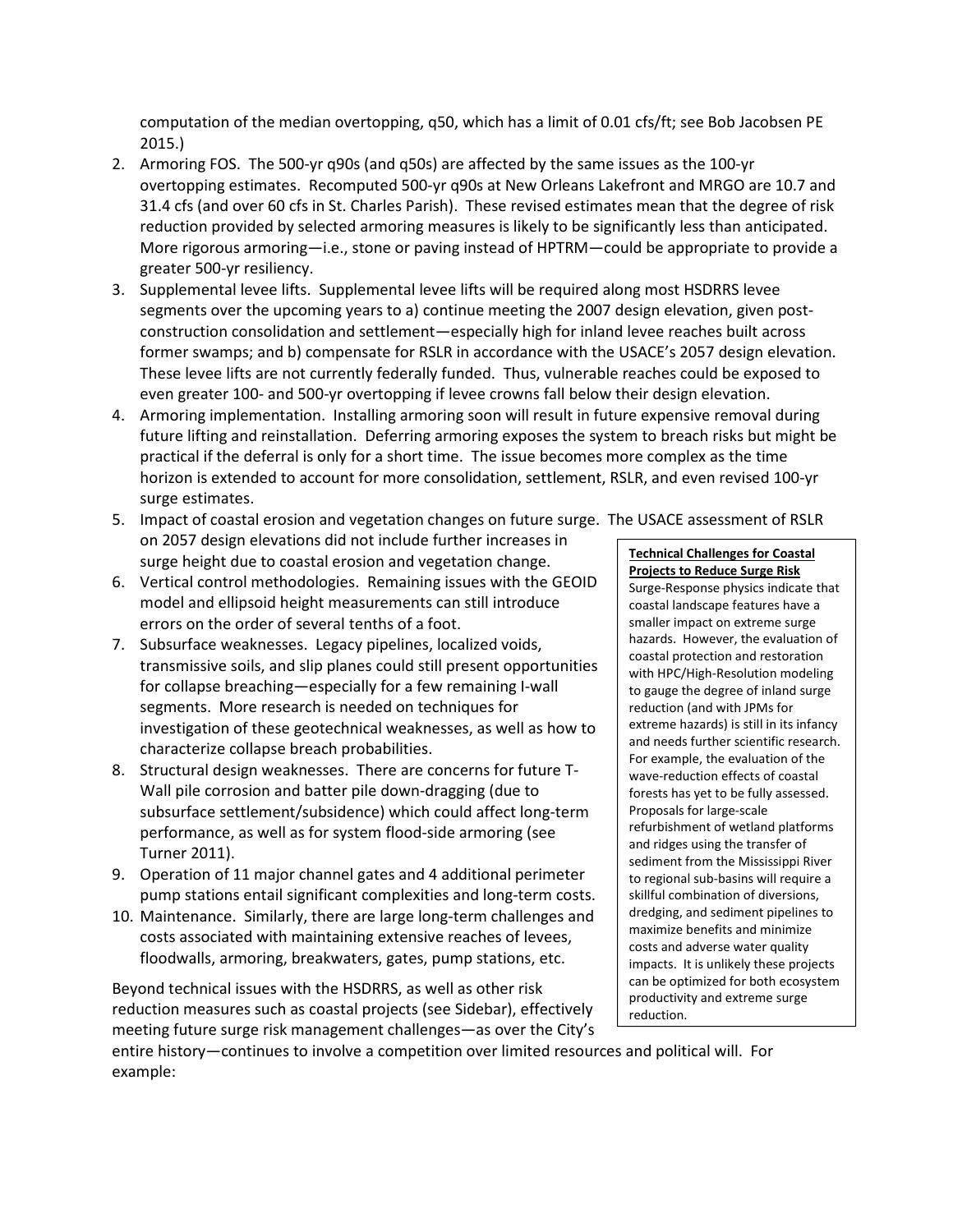computation of the median overtopping, q50, which has a limit of 0.01 cfs/ft; see Bob Jacobsen PE 2015.)

- 2. Armoring FOS. The 500-yr q90s (and q50s) are affected by the same issues as the 100-yr overtopping estimates. Recomputed 500-yr q90s at New Orleans Lakefront and MRGO are 10.7 and 31.4 cfs (and over 60 cfs in St. Charles Parish). These revised estimates mean that the degree of risk reduction provided by selected armoring measures is likely to be significantly less than anticipated. More rigorous armoring—i.e., stone or paving instead of HPTRM—could be appropriate to provide a greater 500-yr resiliency.
- 3. Supplemental levee lifts. Supplemental levee lifts will be required along most HSDRRS levee segments over the upcoming years to a) continue meeting the 2007 design elevation, given postconstruction consolidation and settlement—especially high for inland levee reaches built across former swamps; and b) compensate for RSLR in accordance with the USACE's 2057 design elevation. These levee lifts are not currently federally funded. Thus, vulnerable reaches could be exposed to even greater 100- and 500-yr overtopping if levee crowns fall below their design elevation.
- 4. Armoring implementation. Installing armoring soon will result in future expensive removal during future lifting and reinstallation. Deferring armoring exposes the system to breach risks but might be practical if the deferral is only for a short time. The issue becomes more complex as the time horizon is extended to account for more consolidation, settlement, RSLR, and even revised 100-yr surge estimates.
- 5. Impact of coastal erosion and vegetation changes on future surge. The USACE assessment of RSLR on 2057 design elevations did not include further increases in surge height due to coastal erosion and vegetation change.
- 6. Vertical control methodologies. Remaining issues with the GEOID model and ellipsoid height measurements can still introduce errors on the order of several tenths of a foot.
- 7. Subsurface weaknesses. Legacy pipelines, localized voids, transmissive soils, and slip planes could still present opportunities for collapse breaching—especially for a few remaining I-wall segments. More research is needed on techniques for investigation of these geotechnical weaknesses, as well as how to characterize collapse breach probabilities.
- 8. Structural design weaknesses. There are concerns for future T-Wall pile corrosion and batter pile down-dragging (due to subsurface settlement/subsidence) which could affect long-term performance, as well as for system flood-side armoring (see Turner 2011).
- 9. Operation of 11 major channel gates and 4 additional perimeter pump stations entail significant complexities and long-term costs.
- 10. Maintenance. Similarly, there are large long-term challenges and costs associated with maintaining extensive reaches of levees, floodwalls, armoring, breakwaters, gates, pump stations, etc.

Beyond technical issues with the HSDRRS, as well as other risk reduction measures such as coastal projects (see Sidebar), effectively meeting future surge risk management challenges—as over the City's

entire history—continues to involve a competition over limited resources and political will. For example:

#### **Technical Challenges for Coastal Projects to Reduce Surge Risk**

Surge-Response physics indicate that coastal landscape features have a smaller impact on extreme surge hazards. However, the evaluation of coastal protection and restoration with HPC/High-Resolution modeling to gauge the degree of inland surge reduction (and with JPMs for extreme hazards) is still in its infancy and needs further scientific research. For example, the evaluation of the wave-reduction effects of coastal forests has yet to be fully assessed. Proposals for large-scale refurbishment of wetland platforms and ridges using the transfer of sediment from the Mississippi River to regional sub-basins will require a skillful combination of diversions, dredging, and sediment pipelines to maximize benefits and minimize costs and adverse water quality impacts. It is unlikely these projects can be optimized for both ecosystem productivity and extreme surge reduction.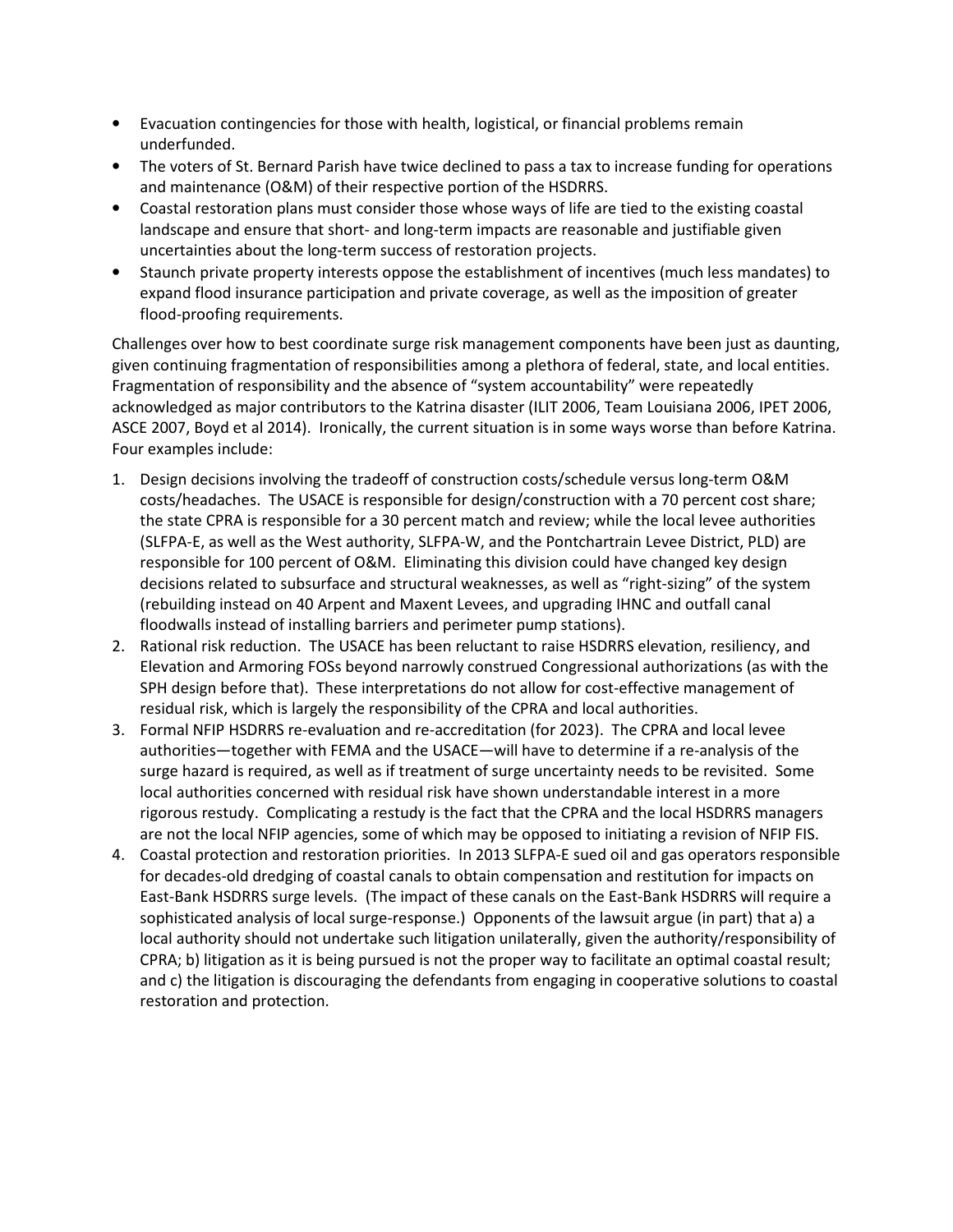- Evacuation contingencies for those with health, logistical, or financial problems remain underfunded.
- The voters of St. Bernard Parish have twice declined to pass a tax to increase funding for operations and maintenance (O&M) of their respective portion of the HSDRRS.
- Coastal restoration plans must consider those whose ways of life are tied to the existing coastal landscape and ensure that short- and long-term impacts are reasonable and justifiable given uncertainties about the long-term success of restoration projects.
- Staunch private property interests oppose the establishment of incentives (much less mandates) to expand flood insurance participation and private coverage, as well as the imposition of greater flood-proofing requirements.

Challenges over how to best coordinate surge risk management components have been just as daunting, given continuing fragmentation of responsibilities among a plethora of federal, state, and local entities. Fragmentation of responsibility and the absence of "system accountability" were repeatedly acknowledged as major contributors to the Katrina disaster (ILIT 2006, Team Louisiana 2006, IPET 2006, ASCE 2007, Boyd et al 2014). Ironically, the current situation is in some ways worse than before Katrina. Four examples include:

- 1. Design decisions involving the tradeoff of construction costs/schedule versus long-term O&M costs/headaches. The USACE is responsible for design/construction with a 70 percent cost share; the state CPRA is responsible for a 30 percent match and review; while the local levee authorities (SLFPA-E, as well as the West authority, SLFPA-W, and the Pontchartrain Levee District, PLD) are responsible for 100 percent of O&M. Eliminating this division could have changed key design decisions related to subsurface and structural weaknesses, as well as "right-sizing" of the system (rebuilding instead on 40 Arpent and Maxent Levees, and upgrading IHNC and outfall canal floodwalls instead of installing barriers and perimeter pump stations).
- 2. Rational risk reduction. The USACE has been reluctant to raise HSDRRS elevation, resiliency, and Elevation and Armoring FOSs beyond narrowly construed Congressional authorizations (as with the SPH design before that). These interpretations do not allow for cost-effective management of residual risk, which is largely the responsibility of the CPRA and local authorities.
- 3. Formal NFIP HSDRRS re-evaluation and re-accreditation (for 2023). The CPRA and local levee authorities—together with FEMA and the USACE—will have to determine if a re-analysis of the surge hazard is required, as well as if treatment of surge uncertainty needs to be revisited. Some local authorities concerned with residual risk have shown understandable interest in a more rigorous restudy. Complicating a restudy is the fact that the CPRA and the local HSDRRS managers are not the local NFIP agencies, some of which may be opposed to initiating a revision of NFIP FIS.
- 4. Coastal protection and restoration priorities. In 2013 SLFPA-E sued oil and gas operators responsible for decades-old dredging of coastal canals to obtain compensation and restitution for impacts on East-Bank HSDRRS surge levels. (The impact of these canals on the East-Bank HSDRRS will require a sophisticated analysis of local surge-response.) Opponents of the lawsuit argue (in part) that a) a local authority should not undertake such litigation unilaterally, given the authority/responsibility of CPRA; b) litigation as it is being pursued is not the proper way to facilitate an optimal coastal result; and c) the litigation is discouraging the defendants from engaging in cooperative solutions to coastal restoration and protection.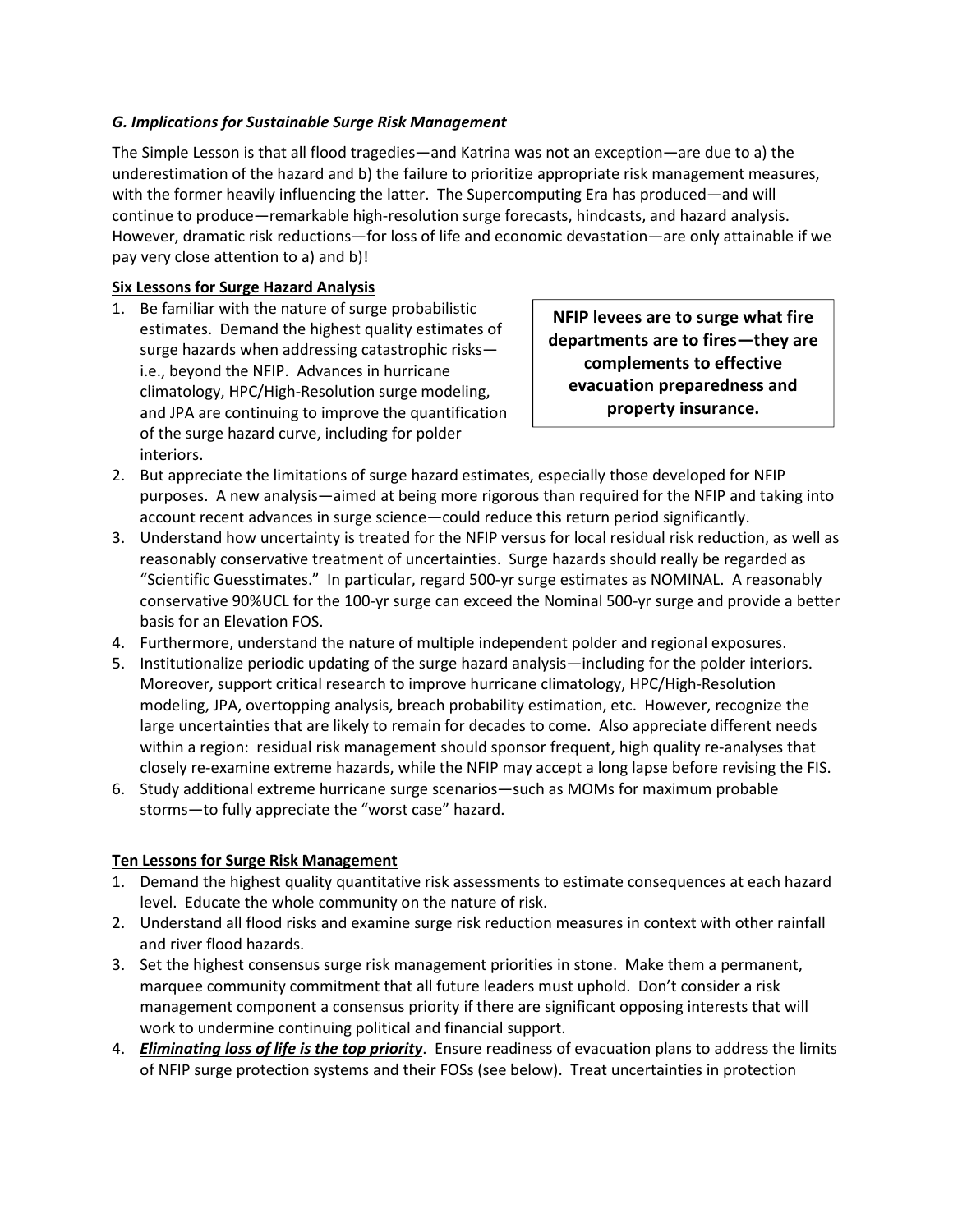### *G. Implications for Sustainable Surge Risk Management*

The Simple Lesson is that all flood tragedies—and Katrina was not an exception—are due to a) the underestimation of the hazard and b) the failure to prioritize appropriate risk management measures, with the former heavily influencing the latter. The Supercomputing Era has produced—and will continue to produce—remarkable high-resolution surge forecasts, hindcasts, and hazard analysis. However, dramatic risk reductions—for loss of life and economic devastation—are only attainable if we pay very close attention to a) and b)!

### **Six Lessons for Surge Hazard Analysis**

1. Be familiar with the nature of surge probabilistic estimates. Demand the highest quality estimates of surge hazards when addressing catastrophic risks i.e., beyond the NFIP. Advances in hurricane climatology, HPC/High-Resolution surge modeling, and JPA are continuing to improve the quantification of the surge hazard curve, including for polder interiors.

**NFIP levees are to surge what fire departments are to fires—they are complements to effective evacuation preparedness and property insurance.** 

- 2. But appreciate the limitations of surge hazard estimates, especially those developed for NFIP purposes. A new analysis—aimed at being more rigorous than required for the NFIP and taking into account recent advances in surge science—could reduce this return period significantly.
- 3. Understand how uncertainty is treated for the NFIP versus for local residual risk reduction, as well as reasonably conservative treatment of uncertainties. Surge hazards should really be regarded as "Scientific Guesstimates." In particular, regard 500-yr surge estimates as NOMINAL. A reasonably conservative 90%UCL for the 100-yr surge can exceed the Nominal 500-yr surge and provide a better basis for an Elevation FOS.
- 4. Furthermore, understand the nature of multiple independent polder and regional exposures.
- 5. Institutionalize periodic updating of the surge hazard analysis—including for the polder interiors. Moreover, support critical research to improve hurricane climatology, HPC/High-Resolution modeling, JPA, overtopping analysis, breach probability estimation, etc. However, recognize the large uncertainties that are likely to remain for decades to come. Also appreciate different needs within a region: residual risk management should sponsor frequent, high quality re-analyses that closely re-examine extreme hazards, while the NFIP may accept a long lapse before revising the FIS.
- 6. Study additional extreme hurricane surge scenarios—such as MOMs for maximum probable storms—to fully appreciate the "worst case" hazard.

#### **Ten Lessons for Surge Risk Management**

- 1. Demand the highest quality quantitative risk assessments to estimate consequences at each hazard level. Educate the whole community on the nature of risk.
- 2. Understand all flood risks and examine surge risk reduction measures in context with other rainfall and river flood hazards.
- 3. Set the highest consensus surge risk management priorities in stone. Make them a permanent, marquee community commitment that all future leaders must uphold. Don't consider a risk management component a consensus priority if there are significant opposing interests that will work to undermine continuing political and financial support.
- 4. *Eliminating loss of life is the top priority*. Ensure readiness of evacuation plans to address the limits of NFIP surge protection systems and their FOSs (see below). Treat uncertainties in protection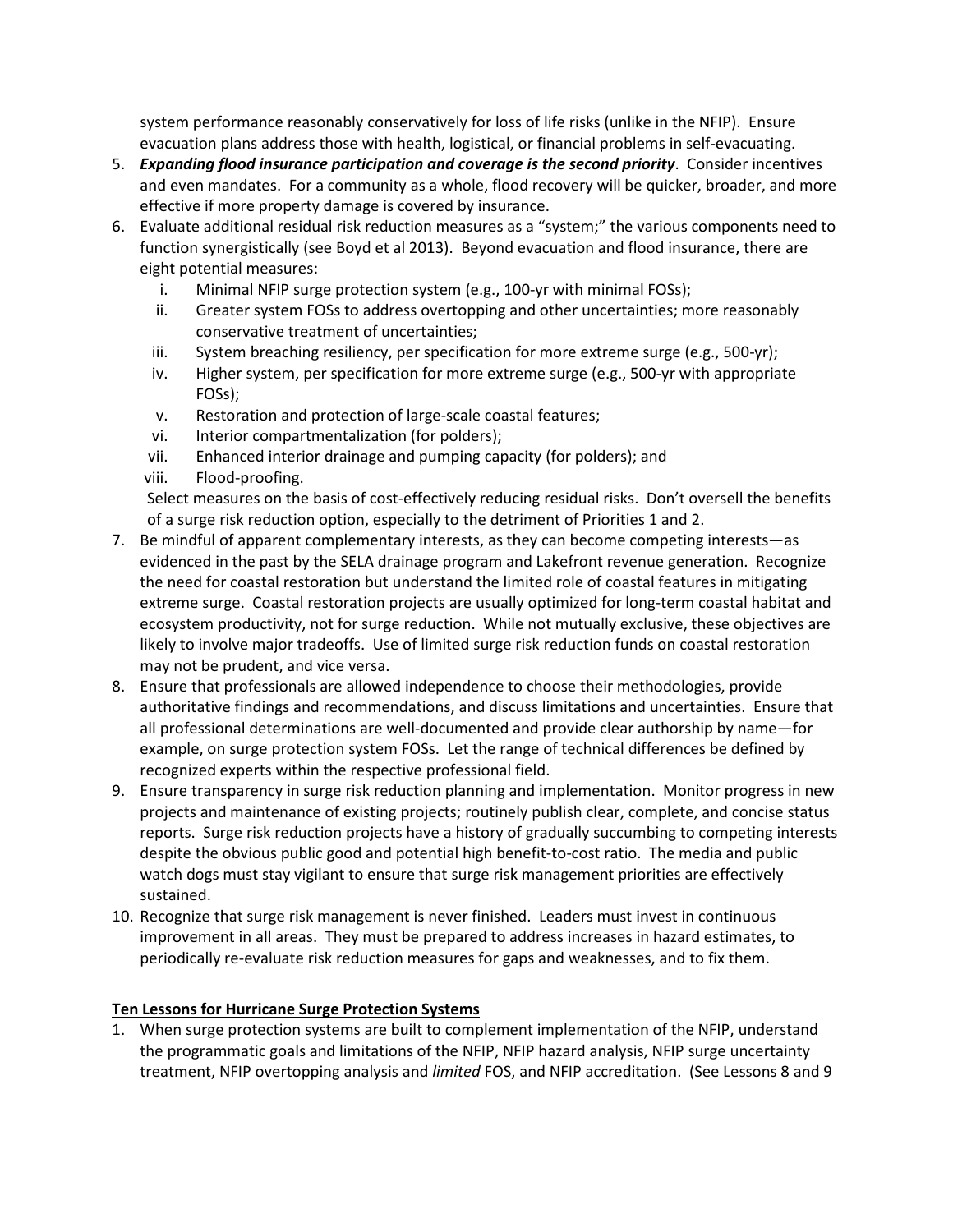system performance reasonably conservatively for loss of life risks (unlike in the NFIP). Ensure evacuation plans address those with health, logistical, or financial problems in self-evacuating.

- 5. *Expanding flood insurance participation and coverage is the second priority*. Consider incentives and even mandates. For a community as a whole, flood recovery will be quicker, broader, and more effective if more property damage is covered by insurance.
- 6. Evaluate additional residual risk reduction measures as a "system;" the various components need to function synergistically (see Boyd et al 2013). Beyond evacuation and flood insurance, there are eight potential measures:
	- i. Minimal NFIP surge protection system (e.g., 100-yr with minimal FOSs);
	- ii. Greater system FOSs to address overtopping and other uncertainties; more reasonably conservative treatment of uncertainties;
	- iii. System breaching resiliency, per specification for more extreme surge (e.g., 500-yr);
	- iv. Higher system, per specification for more extreme surge (e.g., 500-yr with appropriate FOSs);
	- v. Restoration and protection of large-scale coastal features;
	- vi. Interior compartmentalization (for polders);
	- vii. Enhanced interior drainage and pumping capacity (for polders); and
	- viii. Flood-proofing.

Select measures on the basis of cost-effectively reducing residual risks. Don't oversell the benefits of a surge risk reduction option, especially to the detriment of Priorities 1 and 2.

- 7. Be mindful of apparent complementary interests, as they can become competing interests—as evidenced in the past by the SELA drainage program and Lakefront revenue generation. Recognize the need for coastal restoration but understand the limited role of coastal features in mitigating extreme surge. Coastal restoration projects are usually optimized for long-term coastal habitat and ecosystem productivity, not for surge reduction. While not mutually exclusive, these objectives are likely to involve major tradeoffs. Use of limited surge risk reduction funds on coastal restoration may not be prudent, and vice versa.
- 8. Ensure that professionals are allowed independence to choose their methodologies, provide authoritative findings and recommendations, and discuss limitations and uncertainties. Ensure that all professional determinations are well-documented and provide clear authorship by name—for example, on surge protection system FOSs. Let the range of technical differences be defined by recognized experts within the respective professional field.
- 9. Ensure transparency in surge risk reduction planning and implementation. Monitor progress in new projects and maintenance of existing projects; routinely publish clear, complete, and concise status reports. Surge risk reduction projects have a history of gradually succumbing to competing interests despite the obvious public good and potential high benefit-to-cost ratio. The media and public watch dogs must stay vigilant to ensure that surge risk management priorities are effectively sustained.
- 10. Recognize that surge risk management is never finished. Leaders must invest in continuous improvement in all areas. They must be prepared to address increases in hazard estimates, to periodically re-evaluate risk reduction measures for gaps and weaknesses, and to fix them.

## **Ten Lessons for Hurricane Surge Protection Systems**

1. When surge protection systems are built to complement implementation of the NFIP, understand the programmatic goals and limitations of the NFIP, NFIP hazard analysis, NFIP surge uncertainty treatment, NFIP overtopping analysis and *limited* FOS, and NFIP accreditation. (See Lessons 8 and 9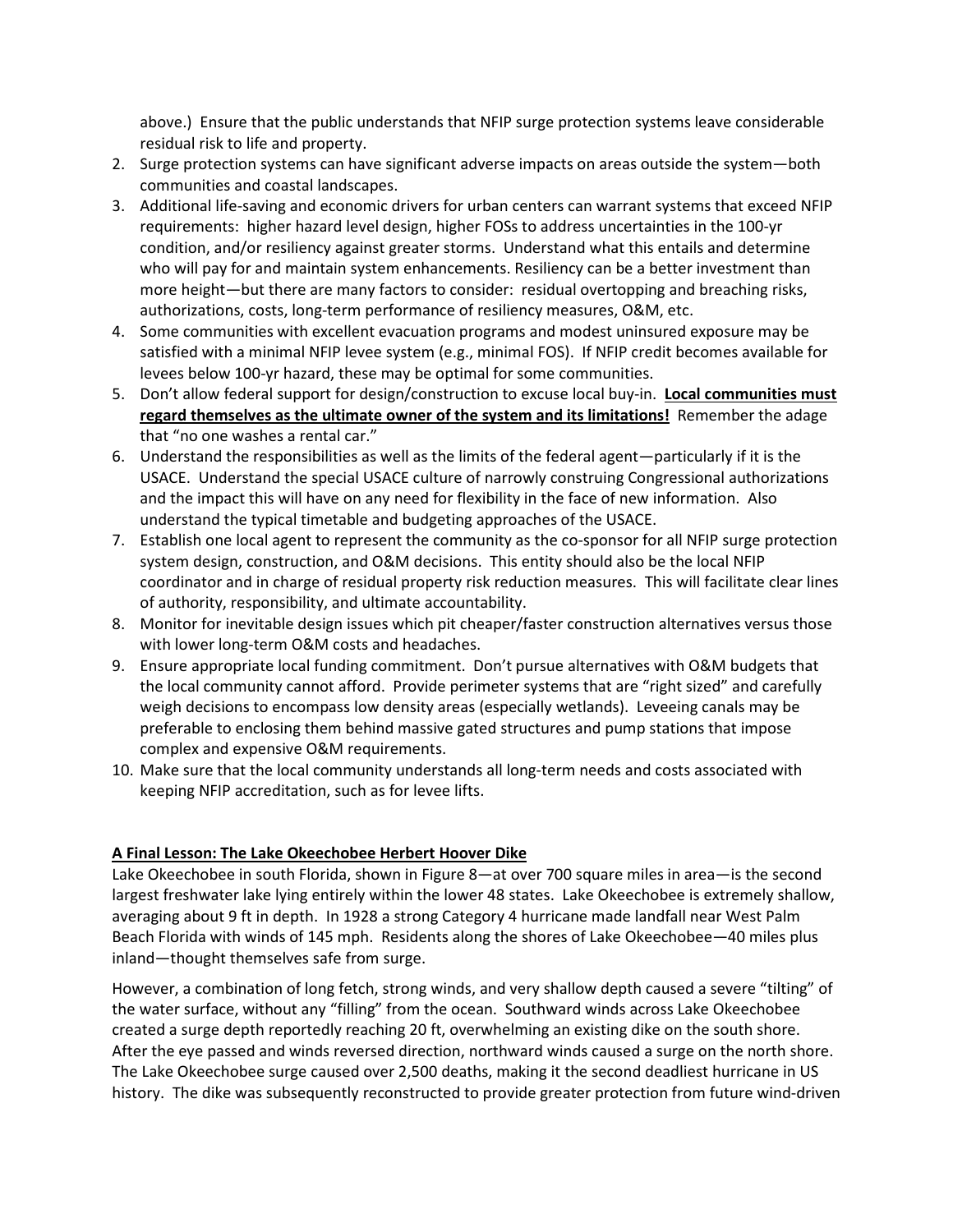above.) Ensure that the public understands that NFIP surge protection systems leave considerable residual risk to life and property.

- 2. Surge protection systems can have significant adverse impacts on areas outside the system—both communities and coastal landscapes.
- 3. Additional life-saving and economic drivers for urban centers can warrant systems that exceed NFIP requirements: higher hazard level design, higher FOSs to address uncertainties in the 100-yr condition, and/or resiliency against greater storms. Understand what this entails and determine who will pay for and maintain system enhancements. Resiliency can be a better investment than more height—but there are many factors to consider: residual overtopping and breaching risks, authorizations, costs, long-term performance of resiliency measures, O&M, etc.
- 4. Some communities with excellent evacuation programs and modest uninsured exposure may be satisfied with a minimal NFIP levee system (e.g., minimal FOS). If NFIP credit becomes available for levees below 100-yr hazard, these may be optimal for some communities.
- 5. Don't allow federal support for design/construction to excuse local buy-in. **Local communities must regard themselves as the ultimate owner of the system and its limitations!** Remember the adage that "no one washes a rental car."
- 6. Understand the responsibilities as well as the limits of the federal agent—particularly if it is the USACE. Understand the special USACE culture of narrowly construing Congressional authorizations and the impact this will have on any need for flexibility in the face of new information. Also understand the typical timetable and budgeting approaches of the USACE.
- 7. Establish one local agent to represent the community as the co-sponsor for all NFIP surge protection system design, construction, and O&M decisions. This entity should also be the local NFIP coordinator and in charge of residual property risk reduction measures. This will facilitate clear lines of authority, responsibility, and ultimate accountability.
- 8. Monitor for inevitable design issues which pit cheaper/faster construction alternatives versus those with lower long-term O&M costs and headaches.
- 9. Ensure appropriate local funding commitment. Don't pursue alternatives with O&M budgets that the local community cannot afford. Provide perimeter systems that are "right sized" and carefully weigh decisions to encompass low density areas (especially wetlands). Leveeing canals may be preferable to enclosing them behind massive gated structures and pump stations that impose complex and expensive O&M requirements.
- 10. Make sure that the local community understands all long-term needs and costs associated with keeping NFIP accreditation, such as for levee lifts.

## **A Final Lesson: The Lake Okeechobee Herbert Hoover Dike**

Lake Okeechobee in south Florida, shown in Figure 8—at over 700 square miles in area—is the second largest freshwater lake lying entirely within the lower 48 states. Lake Okeechobee is extremely shallow, averaging about 9 ft in depth. In 1928 a strong Category 4 hurricane made landfall near West Palm Beach Florida with winds of 145 mph. Residents along the shores of Lake Okeechobee—40 miles plus inland—thought themselves safe from surge.

However, a combination of long fetch, strong winds, and very shallow depth caused a severe "tilting" of the water surface, without any "filling" from the ocean. Southward winds across Lake Okeechobee created a surge depth reportedly reaching 20 ft, overwhelming an existing dike on the south shore. After the eye passed and winds reversed direction, northward winds caused a surge on the north shore. The Lake Okeechobee surge caused over 2,500 deaths, making it the second deadliest hurricane in US history. The dike was subsequently reconstructed to provide greater protection from future wind-driven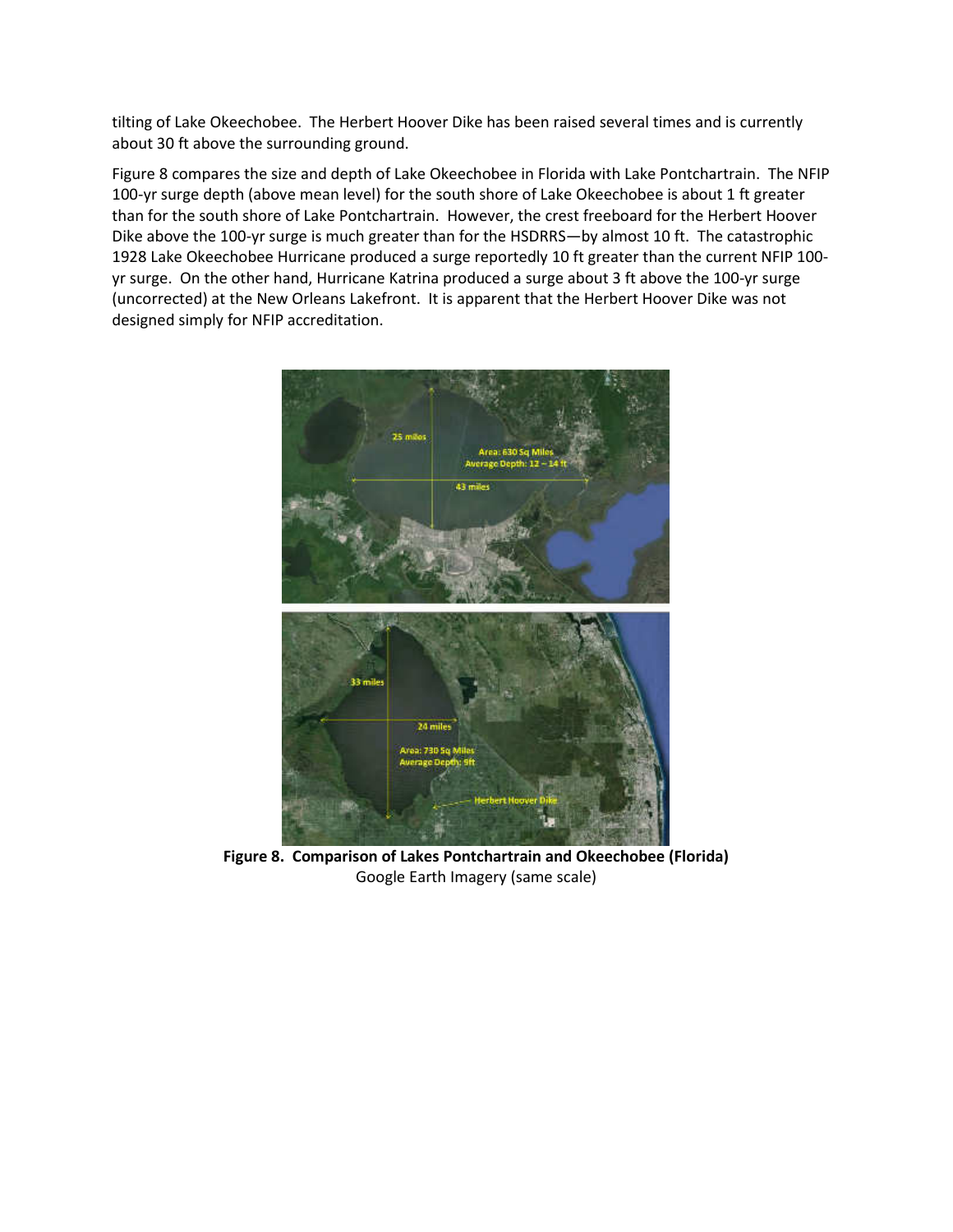tilting of Lake Okeechobee. The Herbert Hoover Dike has been raised several times and is currently about 30 ft above the surrounding ground.

Figure 8 compares the size and depth of Lake Okeechobee in Florida with Lake Pontchartrain. The NFIP 100-yr surge depth (above mean level) for the south shore of Lake Okeechobee is about 1 ft greater than for the south shore of Lake Pontchartrain. However, the crest freeboard for the Herbert Hoover Dike above the 100-yr surge is much greater than for the HSDRRS—by almost 10 ft. The catastrophic 1928 Lake Okeechobee Hurricane produced a surge reportedly 10 ft greater than the current NFIP 100 yr surge. On the other hand, Hurricane Katrina produced a surge about 3 ft above the 100-yr surge (uncorrected) at the New Orleans Lakefront. It is apparent that the Herbert Hoover Dike was not designed simply for NFIP accreditation.



**Figure 8. Comparison of Lakes Pontchartrain and Okeechobee (Florida)**  Google Earth Imagery (same scale)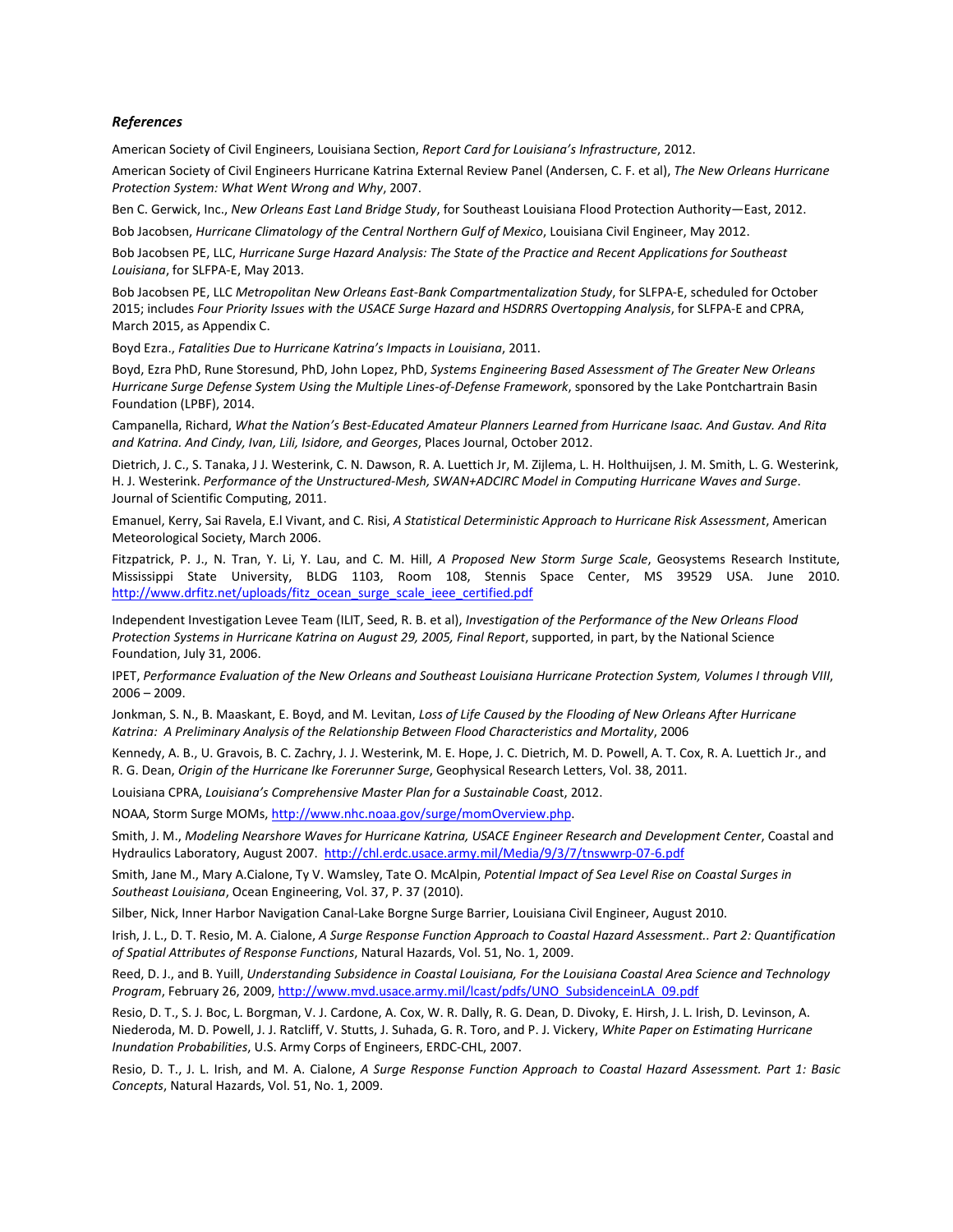#### *References*

American Society of Civil Engineers, Louisiana Section, *Report Card for Louisiana's Infrastructure*, 2012.

American Society of Civil Engineers Hurricane Katrina External Review Panel (Andersen, C. F. et al), *The New Orleans Hurricane Protection System: What Went Wrong and Why*, 2007.

Ben C. Gerwick, Inc., *New Orleans East Land Bridge Study*, for Southeast Louisiana Flood Protection Authority—East, 2012.

Bob Jacobsen, *Hurricane Climatology of the Central Northern Gulf of Mexico*, Louisiana Civil Engineer, May 2012.

Bob Jacobsen PE, LLC, *Hurricane Surge Hazard Analysis: The State of the Practice and Recent Applications for Southeast Louisiana*, for SLFPA-E, May 2013.

Bob Jacobsen PE, LLC *Metropolitan New Orleans East-Bank Compartmentalization Study*, for SLFPA-E, scheduled for October 2015; includes *Four Priority Issues with the USACE Surge Hazard and HSDRRS Overtopping Analysis*, for SLFPA-E and CPRA, March 2015, as Appendix C.

Boyd Ezra., *Fatalities Due to Hurricane Katrina's Impacts in Louisiana*, 2011.

Boyd, Ezra PhD, Rune Storesund, PhD, John Lopez, PhD, *Systems Engineering Based Assessment of The Greater New Orleans Hurricane Surge Defense System Using the Multiple Lines-of-Defense Framework*, sponsored by the Lake Pontchartrain Basin Foundation (LPBF), 2014.

Campanella, Richard, *What the Nation's Best-Educated Amateur Planners Learned from Hurricane Isaac. And Gustav. And Rita and Katrina. And Cindy, Ivan, Lili, Isidore, and Georges*, Places Journal, October 2012.

Dietrich, J. C., S. Tanaka, J J. Westerink, C. N. Dawson, R. A. Luettich Jr, M. Zijlema, L. H. Holthuijsen, J. M. Smith, L. G. Westerink, H. J. Westerink. *Performance of the Unstructured-Mesh, SWAN+ADCIRC Model in Computing Hurricane Waves and Surge*. Journal of Scientific Computing, 2011.

Emanuel, Kerry, Sai Ravela, E.l Vivant, and C. Risi, *A Statistical Deterministic Approach to Hurricane Risk Assessment*, American Meteorological Society, March 2006.

Fitzpatrick, P. J., N. Tran, Y. Li, Y. Lau, and C. M. Hill, *A Proposed New Storm Surge Scale*, Geosystems Research Institute, Mississippi State University, BLDG 1103, Room 108, Stennis Space Center, MS 39529 USA. June 2010. http://www.drfitz.net/uploads/fitz\_ocean\_surge\_scale\_ieee\_certified.pdf

Independent Investigation Levee Team (ILIT, Seed, R. B. et al), *Investigation of the Performance of the New Orleans Flood Protection Systems in Hurricane Katrina on August 29, 2005, Final Report*, supported, in part, by the National Science Foundation, July 31, 2006.

IPET, *Performance Evaluation of the New Orleans and Southeast Louisiana Hurricane Protection System, Volumes I through VIII*, 2006 – 2009.

Jonkman, S. N., B. Maaskant, E. Boyd, and M. Levitan, *Loss of Life Caused by the Flooding of New Orleans After Hurricane Katrina: A Preliminary Analysis of the Relationship Between Flood Characteristics and Mortality*, 2006

Kennedy, A. B., U. Gravois, B. C. Zachry, J. J. Westerink, M. E. Hope, J. C. Dietrich, M. D. Powell, A. T. Cox, R. A. Luettich Jr., and R. G. Dean, *Origin of the Hurricane Ike Forerunner Surge*, Geophysical Research Letters, Vol. 38, 2011.

Louisiana CPRA, *Louisiana's Comprehensive Master Plan for a Sustainable Coa*st, 2012.

NOAA, Storm Surge MOMs, http://www.nhc.noaa.gov/surge/momOverview.php.

Smith, J. M., *Modeling Nearshore Waves for Hurricane Katrina, USACE Engineer Research and Development Center*, Coastal and Hydraulics Laboratory, August 2007. http://chl.erdc.usace.army.mil/Media/9/3/7/tnswwrp-07-6.pdf

Smith, Jane M., Mary A.Cialone, Ty V. Wamsley, Tate O. McAlpin, *Potential Impact of Sea Level Rise on Coastal Surges in Southeast Louisiana*, Ocean Engineering, Vol. 37, P. 37 (2010).

Silber, Nick, Inner Harbor Navigation Canal-Lake Borgne Surge Barrier, Louisiana Civil Engineer, August 2010.

Irish, J. L., D. T. Resio, M. A. Cialone, *A Surge Response Function Approach to Coastal Hazard Assessment.. Part 2: Quantification of Spatial Attributes of Response Functions*, Natural Hazards, Vol. 51, No. 1, 2009.

Reed, D. J., and B. Yuill, *Understanding Subsidence in Coastal Louisiana, For the Louisiana Coastal Area Science and Technology Program*, February 26, 2009, http://www.mvd.usace.army.mil/lcast/pdfs/UNO\_SubsidenceinLA\_09.pdf

Resio, D. T., S. J. Boc, L. Borgman, V. J. Cardone, A. Cox, W. R. Dally, R. G. Dean, D. Divoky, E. Hirsh, J. L. Irish, D. Levinson, A. Niederoda, M. D. Powell, J. J. Ratcliff, V. Stutts, J. Suhada, G. R. Toro, and P. J. Vickery, *White Paper on Estimating Hurricane Inundation Probabilities*, U.S. Army Corps of Engineers, ERDC-CHL, 2007.

Resio, D. T., J. L. Irish, and M. A. Cialone, *A Surge Response Function Approach to Coastal Hazard Assessment. Part 1: Basic Concepts*, Natural Hazards, Vol. 51, No. 1, 2009.